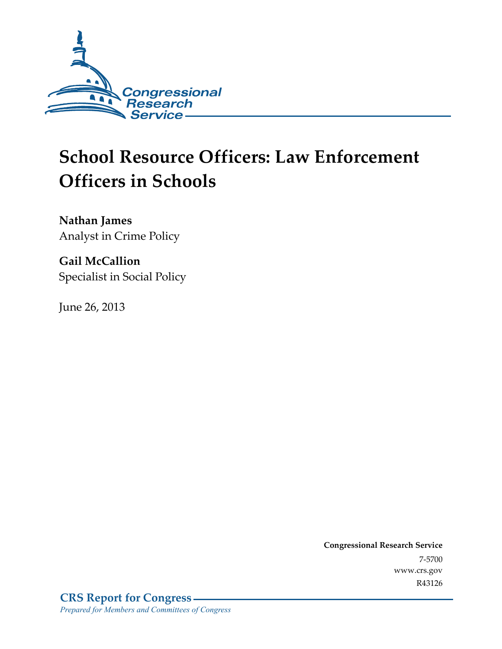

# **School Resource Officers: Law Enforcement Officers in Schools**

**Nathan James**  Analyst in Crime Policy

**Gail McCallion**  Specialist in Social Policy

June 26, 2013

**Congressional Research Service**  7-5700 www.crs.gov R43126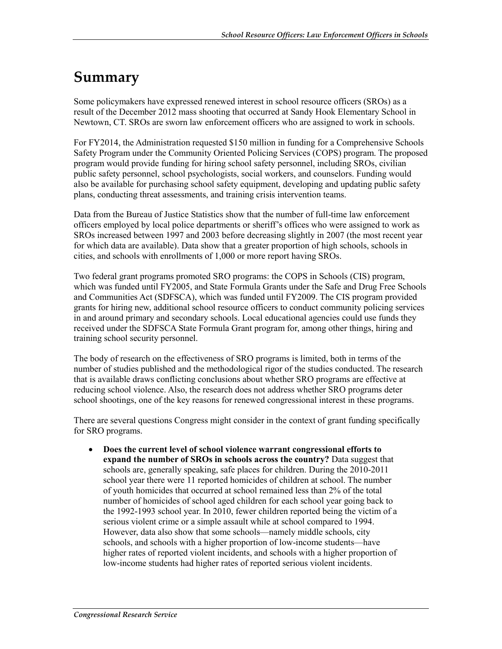## **Summary**

Some policymakers have expressed renewed interest in school resource officers (SROs) as a result of the December 2012 mass shooting that occurred at Sandy Hook Elementary School in Newtown, CT. SROs are sworn law enforcement officers who are assigned to work in schools.

For FY2014, the Administration requested \$150 million in funding for a Comprehensive Schools Safety Program under the Community Oriented Policing Services (COPS) program. The proposed program would provide funding for hiring school safety personnel, including SROs, civilian public safety personnel, school psychologists, social workers, and counselors. Funding would also be available for purchasing school safety equipment, developing and updating public safety plans, conducting threat assessments, and training crisis intervention teams.

Data from the Bureau of Justice Statistics show that the number of full-time law enforcement officers employed by local police departments or sheriff's offices who were assigned to work as SROs increased between 1997 and 2003 before decreasing slightly in 2007 (the most recent year for which data are available). Data show that a greater proportion of high schools, schools in cities, and schools with enrollments of 1,000 or more report having SROs.

Two federal grant programs promoted SRO programs: the COPS in Schools (CIS) program, which was funded until FY2005, and State Formula Grants under the Safe and Drug Free Schools and Communities Act (SDFSCA), which was funded until FY2009. The CIS program provided grants for hiring new, additional school resource officers to conduct community policing services in and around primary and secondary schools. Local educational agencies could use funds they received under the SDFSCA State Formula Grant program for, among other things, hiring and training school security personnel.

The body of research on the effectiveness of SRO programs is limited, both in terms of the number of studies published and the methodological rigor of the studies conducted. The research that is available draws conflicting conclusions about whether SRO programs are effective at reducing school violence. Also, the research does not address whether SRO programs deter school shootings, one of the key reasons for renewed congressional interest in these programs.

There are several questions Congress might consider in the context of grant funding specifically for SRO programs.

• **Does the current level of school violence warrant congressional efforts to expand the number of SROs in schools across the country?** Data suggest that schools are, generally speaking, safe places for children. During the 2010-2011 school year there were 11 reported homicides of children at school. The number of youth homicides that occurred at school remained less than 2% of the total number of homicides of school aged children for each school year going back to the 1992-1993 school year. In 2010, fewer children reported being the victim of a serious violent crime or a simple assault while at school compared to 1994. However, data also show that some schools—namely middle schools, city schools, and schools with a higher proportion of low-income students—have higher rates of reported violent incidents, and schools with a higher proportion of low-income students had higher rates of reported serious violent incidents.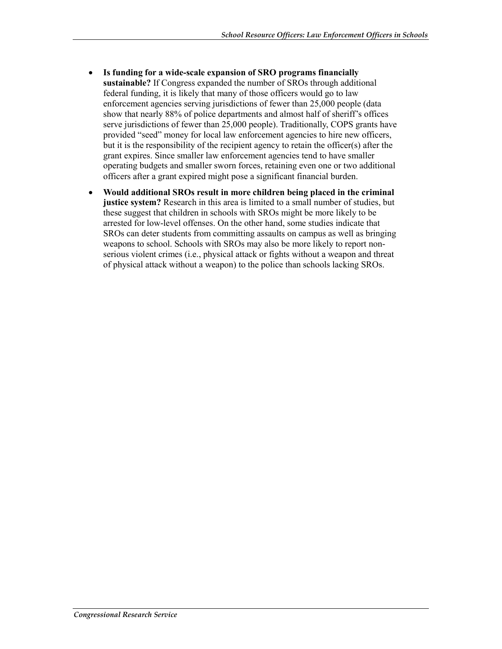- **Is funding for a wide-scale expansion of SRO programs financially sustainable?** If Congress expanded the number of SROs through additional federal funding, it is likely that many of those officers would go to law enforcement agencies serving jurisdictions of fewer than 25,000 people (data show that nearly 88% of police departments and almost half of sheriff's offices serve jurisdictions of fewer than 25,000 people). Traditionally, COPS grants have provided "seed" money for local law enforcement agencies to hire new officers, but it is the responsibility of the recipient agency to retain the officer(s) after the grant expires. Since smaller law enforcement agencies tend to have smaller operating budgets and smaller sworn forces, retaining even one or two additional officers after a grant expired might pose a significant financial burden.
- **Would additional SROs result in more children being placed in the criminal justice system?** Research in this area is limited to a small number of studies, but these suggest that children in schools with SROs might be more likely to be arrested for low-level offenses. On the other hand, some studies indicate that SROs can deter students from committing assaults on campus as well as bringing weapons to school. Schools with SROs may also be more likely to report nonserious violent crimes (i.e., physical attack or fights without a weapon and threat of physical attack without a weapon) to the police than schools lacking SROs.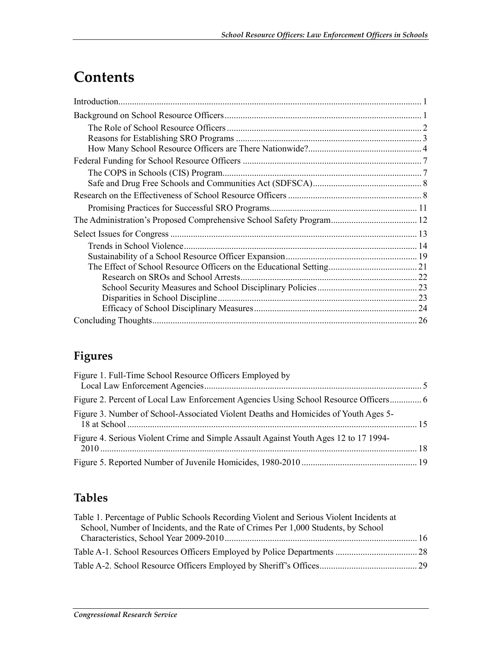# **Contents**

| The Administration's Proposed Comprehensive School Safety Program 12 |  |
|----------------------------------------------------------------------|--|
|                                                                      |  |
|                                                                      |  |
|                                                                      |  |
|                                                                      |  |
| Research on SROs and School Arrests                                  |  |
|                                                                      |  |
|                                                                      |  |
|                                                                      |  |
|                                                                      |  |

## **Figures**

| Figure 1. Full-Time School Resource Officers Employed by                             |  |
|--------------------------------------------------------------------------------------|--|
|                                                                                      |  |
| Figure 3. Number of School-Associated Violent Deaths and Homicides of Youth Ages 5-  |  |
| Figure 4. Serious Violent Crime and Simple Assault Against Youth Ages 12 to 17 1994- |  |
|                                                                                      |  |

## **Tables**

| Table 1. Percentage of Public Schools Recording Violent and Serious Violent Incidents at |  |
|------------------------------------------------------------------------------------------|--|
| School, Number of Incidents, and the Rate of Crimes Per 1,000 Students, by School        |  |
|                                                                                          |  |
|                                                                                          |  |
|                                                                                          |  |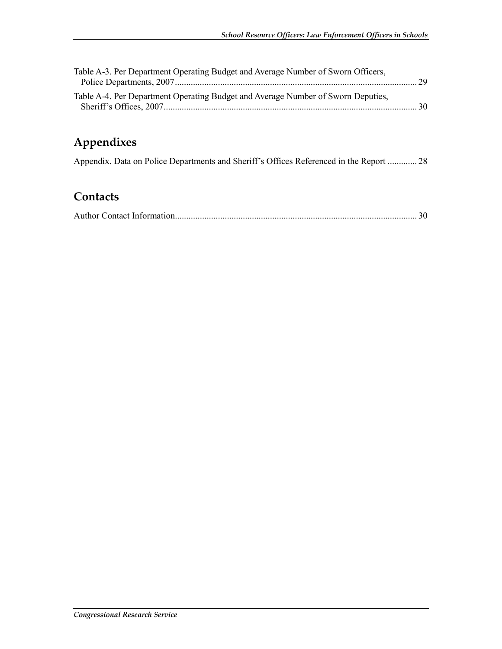| Table A-3. Per Department Operating Budget and Average Number of Sworn Officers, |  |
|----------------------------------------------------------------------------------|--|
|                                                                                  |  |
| Table A-4. Per Department Operating Budget and Average Number of Sworn Deputies, |  |
|                                                                                  |  |

## **Appendixes**

| Appendix. Data on Police Departments and Sheriff's Offices Referenced in the Report  28 |  |
|-----------------------------------------------------------------------------------------|--|
|                                                                                         |  |

## **Contacts**

|--|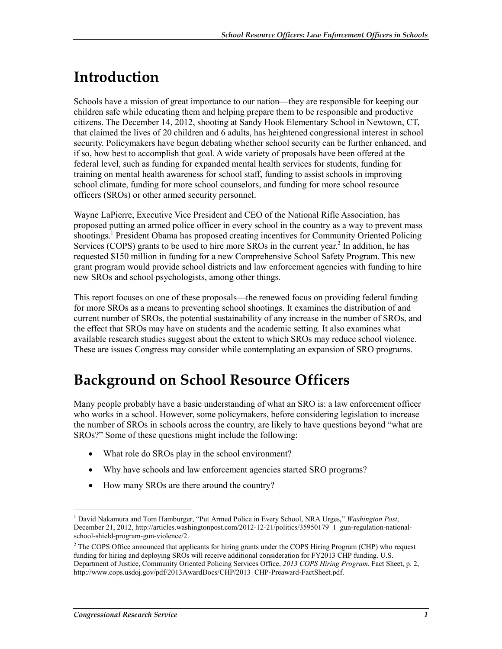# **Introduction**

Schools have a mission of great importance to our nation—they are responsible for keeping our children safe while educating them and helping prepare them to be responsible and productive citizens. The December 14, 2012, shooting at Sandy Hook Elementary School in Newtown, CT, that claimed the lives of 20 children and 6 adults, has heightened congressional interest in school security. Policymakers have begun debating whether school security can be further enhanced, and if so, how best to accomplish that goal. A wide variety of proposals have been offered at the federal level, such as funding for expanded mental health services for students, funding for training on mental health awareness for school staff, funding to assist schools in improving school climate, funding for more school counselors, and funding for more school resource officers (SROs) or other armed security personnel.

Wayne LaPierre, Executive Vice President and CEO of the National Rifle Association, has proposed putting an armed police officer in every school in the country as a way to prevent mass shootings.<sup>1</sup> President Obama has proposed creating incentives for Community Oriented Policing Services (COPS) grants to be used to hire more SROs in the current year.<sup>2</sup> In addition, he has requested \$150 million in funding for a new Comprehensive School Safety Program. This new grant program would provide school districts and law enforcement agencies with funding to hire new SROs and school psychologists, among other things.

This report focuses on one of these proposals—the renewed focus on providing federal funding for more SROs as a means to preventing school shootings. It examines the distribution of and current number of SROs, the potential sustainability of any increase in the number of SROs, and the effect that SROs may have on students and the academic setting. It also examines what available research studies suggest about the extent to which SROs may reduce school violence. These are issues Congress may consider while contemplating an expansion of SRO programs.

# **Background on School Resource Officers**

Many people probably have a basic understanding of what an SRO is: a law enforcement officer who works in a school. However, some policymakers, before considering legislation to increase the number of SROs in schools across the country, are likely to have questions beyond "what are SROs?" Some of these questions might include the following:

- What role do SROs play in the school environment?
- Why have schools and law enforcement agencies started SRO programs?
- How many SROs are there around the country?

<sup>&</sup>lt;sup>1</sup> David Nakamura and Tom Hamburger, "Put Armed Police in Every School, NRA Urges," Washington Post, December 21, 2012, http://articles.washingtonpost.com/2012-12-21/politics/35950179\_1\_gun-regulation-nationalschool-shield-program-gun-violence/2.

<sup>&</sup>lt;sup>2</sup> The COPS Office announced that applicants for hiring grants under the COPS Hiring Program (CHP) who request funding for hiring and deploying SROs will receive additional consideration for FY2013 CHP funding. U.S. Department of Justice, Community Oriented Policing Services Office, *2013 COPS Hiring Program*, Fact Sheet, p. 2, http://www.cops.usdoj.gov/pdf/2013AwardDocs/CHP/2013\_CHP-Preaward-FactSheet.pdf.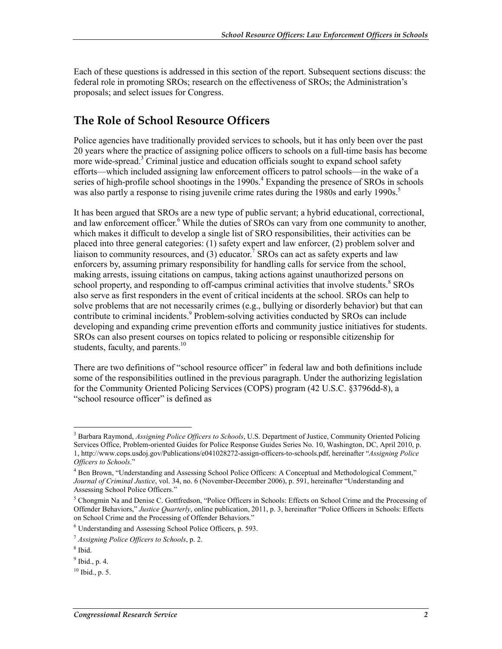Each of these questions is addressed in this section of the report. Subsequent sections discuss: the federal role in promoting SROs; research on the effectiveness of SROs; the Administration's proposals; and select issues for Congress.

### **The Role of School Resource Officers**

Police agencies have traditionally provided services to schools, but it has only been over the past 20 years where the practice of assigning police officers to schools on a full-time basis has become more wide-spread.<sup>3</sup> Criminal justice and education officials sought to expand school safety efforts—which included assigning law enforcement officers to patrol schools—in the wake of a series of high-profile school shootings in the 1990s.<sup>4</sup> Expanding the presence of SROs in schools was also partly a response to rising juvenile crime rates during the 1980s and early 1990s.<sup>5</sup>

It has been argued that SROs are a new type of public servant; a hybrid educational, correctional, and law enforcement officer.<sup>6</sup> While the duties of SROs can vary from one community to another, which makes it difficult to develop a single list of SRO responsibilities, their activities can be placed into three general categories: (1) safety expert and law enforcer, (2) problem solver and liaison to community resources, and  $(3)$  educator.<sup>7</sup> SROs can act as safety experts and law enforcers by, assuming primary responsibility for handling calls for service from the school, making arrests, issuing citations on campus, taking actions against unauthorized persons on school property, and responding to off-campus criminal activities that involve students.<sup>8</sup> SROs also serve as first responders in the event of critical incidents at the school. SROs can help to solve problems that are not necessarily crimes (e.g., bullying or disorderly behavior) but that can contribute to criminal incidents.<sup>9</sup> Problem-solving activities conducted by SROs can include developing and expanding crime prevention efforts and community justice initiatives for students. SROs can also present courses on topics related to policing or responsible citizenship for students, faculty, and parents. $10$ 

There are two definitions of "school resource officer" in federal law and both definitions include some of the responsibilities outlined in the previous paragraph. Under the authorizing legislation for the Community Oriented Policing Services (COPS) program (42 U.S.C. §3796dd-8), a "school resource officer" is defined as

<sup>3</sup> Barbara Raymond, *Assigning Police Officers to Schools*, U.S. Department of Justice, Community Oriented Policing Services Office, Problem-oriented Guides for Police Response Guides Series No. 10, Washington, DC, April 2010, p. 1, http://www.cops.usdoj.gov/Publications/e041028272-assign-officers-to-schools.pdf, hereinafter "*Assigning Police Officers to Schools*."

<sup>&</sup>lt;sup>4</sup> Ben Brown, "Understanding and Assessing School Police Officers: A Conceptual and Methodological Comment," *Journal of Criminal Justice*, vol. 34, no. 6 (November-December 2006), p. 591, hereinafter "Understanding and Assessing School Police Officers."

<sup>&</sup>lt;sup>5</sup> Chongmin Na and Denise C. Gottfredson, "Police Officers in Schools: Effects on School Crime and the Processing of Offender Behaviors," *Justice Quarterly*, online publication, 2011, p. 3, hereinafter "Police Officers in Schools: Effects on School Crime and the Processing of Offender Behaviors."

<sup>6</sup> Understanding and Assessing School Police Officers, p. 593.

<sup>7</sup> *Assigning Police Officers to Schools*, p. 2.

<sup>8</sup> Ibid.

 $<sup>9</sup>$  Ibid., p. 4.</sup>

 $10$  Ibid., p. 5.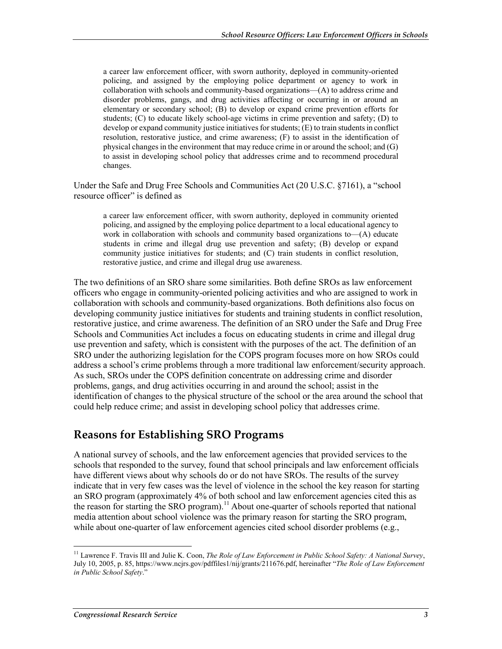a career law enforcement officer, with sworn authority, deployed in community-oriented policing, and assigned by the employing police department or agency to work in collaboration with schools and community-based organizations—(A) to address crime and disorder problems, gangs, and drug activities affecting or occurring in or around an elementary or secondary school; (B) to develop or expand crime prevention efforts for students; (C) to educate likely school-age victims in crime prevention and safety; (D) to develop or expand community justice initiatives for students; (E) to train students in conflict resolution, restorative justice, and crime awareness; (F) to assist in the identification of physical changes in the environment that may reduce crime in or around the school; and (G) to assist in developing school policy that addresses crime and to recommend procedural changes.

Under the Safe and Drug Free Schools and Communities Act (20 U.S.C. §7161), a "school resource officer" is defined as

a career law enforcement officer, with sworn authority, deployed in community oriented policing, and assigned by the employing police department to a local educational agency to work in collaboration with schools and community based organizations to—(A) educate students in crime and illegal drug use prevention and safety; (B) develop or expand community justice initiatives for students; and (C) train students in conflict resolution, restorative justice, and crime and illegal drug use awareness.

The two definitions of an SRO share some similarities. Both define SROs as law enforcement officers who engage in community-oriented policing activities and who are assigned to work in collaboration with schools and community-based organizations. Both definitions also focus on developing community justice initiatives for students and training students in conflict resolution, restorative justice, and crime awareness. The definition of an SRO under the Safe and Drug Free Schools and Communities Act includes a focus on educating students in crime and illegal drug use prevention and safety, which is consistent with the purposes of the act. The definition of an SRO under the authorizing legislation for the COPS program focuses more on how SROs could address a school's crime problems through a more traditional law enforcement/security approach. As such, SROs under the COPS definition concentrate on addressing crime and disorder problems, gangs, and drug activities occurring in and around the school; assist in the identification of changes to the physical structure of the school or the area around the school that could help reduce crime; and assist in developing school policy that addresses crime.

#### **Reasons for Establishing SRO Programs**

A national survey of schools, and the law enforcement agencies that provided services to the schools that responded to the survey, found that school principals and law enforcement officials have different views about why schools do or do not have SROs. The results of the survey indicate that in very few cases was the level of violence in the school the key reason for starting an SRO program (approximately 4% of both school and law enforcement agencies cited this as the reason for starting the SRO program).<sup>11</sup> About one-quarter of schools reported that national media attention about school violence was the primary reason for starting the SRO program, while about one-quarter of law enforcement agencies cited school disorder problems (e.g.,

<sup>11</sup> Lawrence F. Travis III and Julie K. Coon, *The Role of Law Enforcement in Public School Safety: A National Survey*, July 10, 2005, p. 85, https://www.ncjrs.gov/pdffiles1/nij/grants/211676.pdf, hereinafter "*The Role of Law Enforcement in Public School Safety*."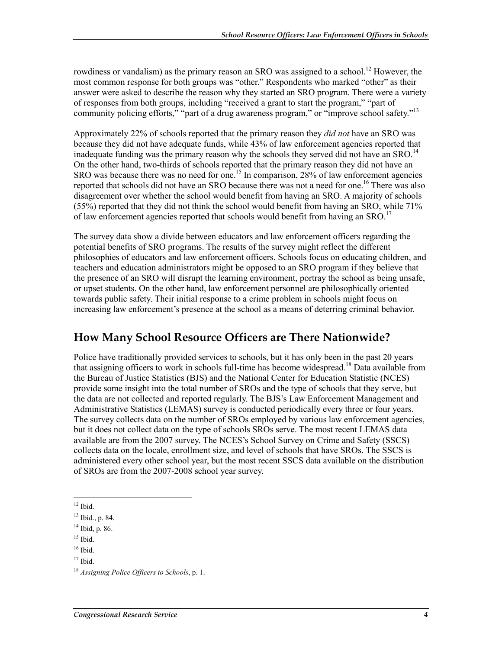rowdiness or vandalism) as the primary reason an SRO was assigned to a school.<sup>12</sup> However, the most common response for both groups was "other." Respondents who marked "other" as their answer were asked to describe the reason why they started an SRO program. There were a variety of responses from both groups, including "received a grant to start the program," "part of community policing efforts," "part of a drug awareness program," or "improve school safety."<sup>13</sup>

Approximately 22% of schools reported that the primary reason they *did not* have an SRO was because they did not have adequate funds, while 43% of law enforcement agencies reported that inadequate funding was the primary reason why the schools they served did not have an SRO.<sup>14</sup> On the other hand, two-thirds of schools reported that the primary reason they did not have an SRO was because there was no need for one.<sup>15</sup> In comparison, 28% of law enforcement agencies reported that schools did not have an SRO because there was not a need for one.<sup>16</sup> There was also disagreement over whether the school would benefit from having an SRO. A majority of schools  $(55%)$  reported that they did not think the school would benefit from having an SRO, while 71% of law enforcement agencies reported that schools would benefit from having an SRO.<sup>17</sup>

The survey data show a divide between educators and law enforcement officers regarding the potential benefits of SRO programs. The results of the survey might reflect the different philosophies of educators and law enforcement officers. Schools focus on educating children, and teachers and education administrators might be opposed to an SRO program if they believe that the presence of an SRO will disrupt the learning environment, portray the school as being unsafe, or upset students. On the other hand, law enforcement personnel are philosophically oriented towards public safety. Their initial response to a crime problem in schools might focus on increasing law enforcement's presence at the school as a means of deterring criminal behavior.

### **How Many School Resource Officers are There Nationwide?**

Police have traditionally provided services to schools, but it has only been in the past 20 years that assigning officers to work in schools full-time has become widespread.<sup>18</sup> Data available from the Bureau of Justice Statistics (BJS) and the National Center for Education Statistic (NCES) provide some insight into the total number of SROs and the type of schools that they serve, but the data are not collected and reported regularly. The BJS's Law Enforcement Management and Administrative Statistics (LEMAS) survey is conducted periodically every three or four years. The survey collects data on the number of SROs employed by various law enforcement agencies, but it does not collect data on the type of schools SROs serve. The most recent LEMAS data available are from the 2007 survey. The NCES's School Survey on Crime and Safety (SSCS) collects data on the locale, enrollment size, and level of schools that have SROs. The SSCS is administered every other school year, but the most recent SSCS data available on the distribution of SROs are from the 2007-2008 school year survey.

<sup>1</sup>  $12$  Ibid.

<sup>13</sup> Ibid., p. 84.

<sup>14</sup> Ibid, p. 86.

 $15$  Ibid.

<sup>&</sup>lt;sup>16</sup> Ibid.

 $17$  Ibid.

<sup>18</sup> *Assigning Police Officers to Schools*, p. 1.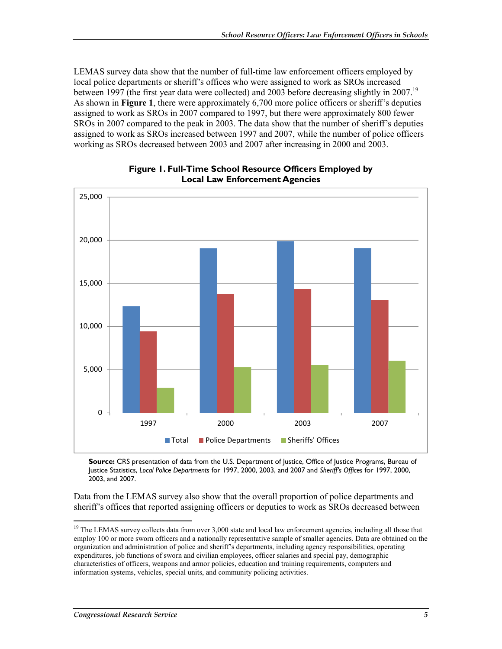LEMAS survey data show that the number of full-time law enforcement officers employed by local police departments or sheriff's offices who were assigned to work as SROs increased between 1997 (the first year data were collected) and 2003 before decreasing slightly in 2007.<sup>19</sup> As shown in **Figure 1**, there were approximately 6,700 more police officers or sheriff's deputies assigned to work as SROs in 2007 compared to 1997, but there were approximately 800 fewer SROs in 2007 compared to the peak in 2003. The data show that the number of sheriff's deputies assigned to work as SROs increased between 1997 and 2007, while the number of police officers working as SROs decreased between 2003 and 2007 after increasing in 2000 and 2003.



**Figure 1. Full-Time School Resource Officers Employed by Local Law Enforcement Agencies** 

**Source:** CRS presentation of data from the U.S. Department of Justice, Office of Justice Programs, Bureau of Justice Statistics, *Local Police Departments* for 1997, 2000, 2003, and 2007 and *Sheriff's Offices* for 1997, 2000, 2003, and 2007.

Data from the LEMAS survey also show that the overall proportion of police departments and sheriff's offices that reported assigning officers or deputies to work as SROs decreased between

<sup>&</sup>lt;sup>19</sup> The LEMAS survey collects data from over 3,000 state and local law enforcement agencies, including all those that employ 100 or more sworn officers and a nationally representative sample of smaller agencies. Data are obtained on the organization and administration of police and sheriff's departments, including agency responsibilities, operating expenditures, job functions of sworn and civilian employees, officer salaries and special pay, demographic characteristics of officers, weapons and armor policies, education and training requirements, computers and information systems, vehicles, special units, and community policing activities.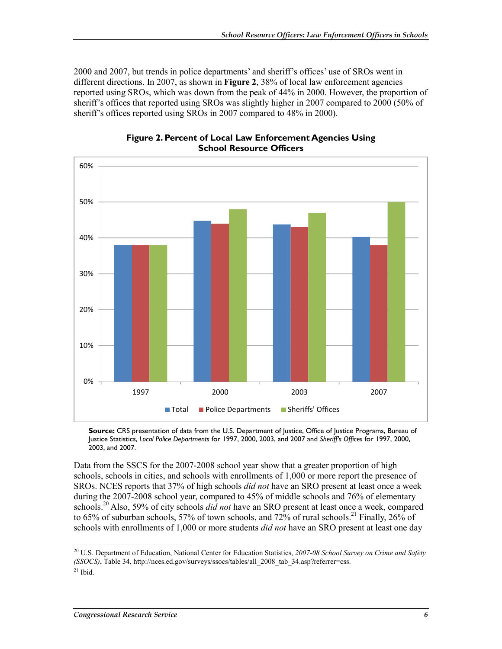2000 and 2007, but trends in police departments' and sheriff's offices' use of SROs went in different directions. In 2007, as shown in **Figure 2**, 38% of local law enforcement agencies reported using SROs, which was down from the peak of 44% in 2000. However, the proportion of sheriff's offices that reported using SROs was slightly higher in 2007 compared to 2000 (50% of sheriff's offices reported using SROs in 2007 compared to 48% in 2000).



**Figure 2. Percent of Local Law Enforcement Agencies Using School Resource Officers** 

**Source:** CRS presentation of data from the U.S. Department of Justice, Office of Justice Programs, Bureau of Justice Statistics, *Local Police Departments* for 1997, 2000, 2003, and 2007 and *Sheriff's Offices* for 1997, 2000, 2003, and 2007.

Data from the SSCS for the 2007-2008 school year show that a greater proportion of high schools, schools in cities, and schools with enrollments of 1,000 or more report the presence of SROs. NCES reports that 37% of high schools *did not* have an SRO present at least once a week during the 2007-2008 school year, compared to 45% of middle schools and 76% of elementary schools.20 Also, 59% of city schools *did not* have an SRO present at least once a week, compared to 65% of suburban schools, 57% of town schools, and 72% of rural schools.<sup>21</sup> Finally, 26% of schools with enrollments of 1,000 or more students *did not* have an SRO present at least one day

<sup>20</sup> U.S. Department of Education, National Center for Education Statistics, *2007-08 School Survey on Crime and Safety (SSOCS)*, Table 34, http://nces.ed.gov/surveys/ssocs/tables/all\_2008\_tab\_34.asp?referrer=css.

 $21$  Ibid.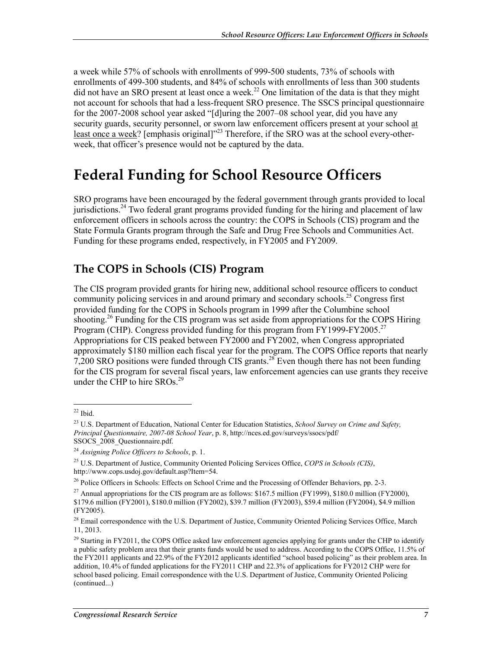a week while 57% of schools with enrollments of 999-500 students, 73% of schools with enrollments of 499-300 students, and 84% of schools with enrollments of less than 300 students did not have an SRO present at least once a week.<sup>22</sup> One limitation of the data is that they might not account for schools that had a less-frequent SRO presence. The SSCS principal questionnaire for the 2007-2008 school year asked "[d]uring the 2007–08 school year, did you have any security guards, security personnel, or sworn law enforcement officers present at your school at least once a week? [emphasis original]<sup>223</sup> Therefore, if the SRO was at the school every-otherweek, that officer's presence would not be captured by the data.

## **Federal Funding for School Resource Officers**

SRO programs have been encouraged by the federal government through grants provided to local jurisdictions.<sup>24</sup> Two federal grant programs provided funding for the hiring and placement of law enforcement officers in schools across the country: the COPS in Schools (CIS) program and the State Formula Grants program through the Safe and Drug Free Schools and Communities Act. Funding for these programs ended, respectively, in FY2005 and FY2009.

### **The COPS in Schools (CIS) Program**

The CIS program provided grants for hiring new, additional school resource officers to conduct community policing services in and around primary and secondary schools.<sup>25</sup> Congress first provided funding for the COPS in Schools program in 1999 after the Columbine school shooting.<sup>26</sup> Funding for the CIS program was set aside from appropriations for the COPS Hiring Program (CHP). Congress provided funding for this program from FY1999-FY2005.<sup>27</sup> Appropriations for CIS peaked between FY2000 and FY2002, when Congress appropriated approximately \$180 million each fiscal year for the program. The COPS Office reports that nearly 7,200 SRO positions were funded through CIS grants.<sup>28</sup> Even though there has not been funding for the CIS program for several fiscal years, law enforcement agencies can use grants they receive under the CHP to hire  $SROs.<sup>29</sup>$ 

 $22$  Ibid.

<sup>23</sup> U.S. Department of Education, National Center for Education Statistics, *School Survey on Crime and Safety, Principal Questionnaire, 2007-08 School Year*, p. 8, http://nces.ed.gov/surveys/ssocs/pdf/ SSOCS\_2008\_Questionnaire.pdf.

<sup>24</sup> *Assigning Police Officers to Schools*, p. 1.

<sup>25</sup> U.S. Department of Justice, Community Oriented Policing Services Office, *COPS in Schools (CIS)*, http://www.cops.usdoj.gov/default.asp?Item=54.

<sup>&</sup>lt;sup>26</sup> Police Officers in Schools: Effects on School Crime and the Processing of Offender Behaviors, pp. 2-3.

<sup>&</sup>lt;sup>27</sup> Annual appropriations for the CIS program are as follows: \$167.5 million (FY1999), \$180.0 million (FY2000), \$179.6 million (FY2001), \$180.0 million (FY2002), \$39.7 million (FY2003), \$59.4 million (FY2004), \$4.9 million (FY2005).

<sup>&</sup>lt;sup>28</sup> Email correspondence with the U.S. Department of Justice, Community Oriented Policing Services Office, March 11, 2013.

<sup>&</sup>lt;sup>29</sup> Starting in FY2011, the COPS Office asked law enforcement agencies applying for grants under the CHP to identify a public safety problem area that their grants funds would be used to address. According to the COPS Office, 11.5% of the FY2011 applicants and 22.9% of the FY2012 applicants identified "school based policing" as their problem area. In addition, 10.4% of funded applications for the FY2011 CHP and 22.3% of applications for FY2012 CHP were for school based policing. Email correspondence with the U.S. Department of Justice, Community Oriented Policing (continued...)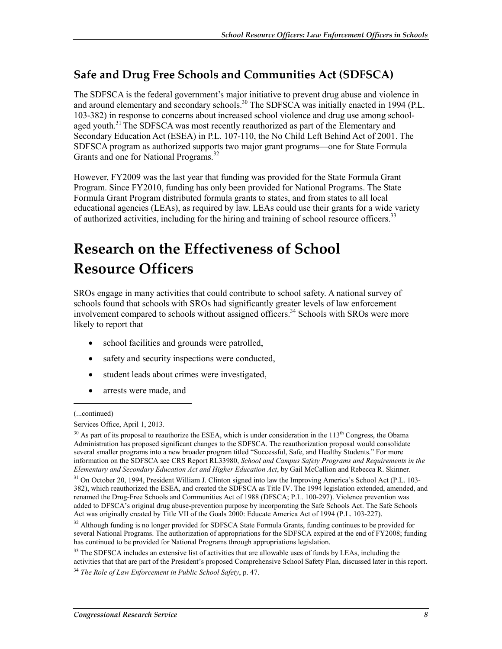### **Safe and Drug Free Schools and Communities Act (SDFSCA)**

The SDFSCA is the federal government's major initiative to prevent drug abuse and violence in and around elementary and secondary schools.<sup>30</sup> The SDFSCA was initially enacted in 1994 (P.L. 103-382) in response to concerns about increased school violence and drug use among schoolaged youth.<sup>31</sup> The SDFSCA was most recently reauthorized as part of the Elementary and Secondary Education Act (ESEA) in P.L. 107-110, the No Child Left Behind Act of 2001. The SDFSCA program as authorized supports two major grant programs—one for State Formula Grants and one for National Programs.<sup>32</sup>

However, FY2009 was the last year that funding was provided for the State Formula Grant Program. Since FY2010, funding has only been provided for National Programs. The State Formula Grant Program distributed formula grants to states, and from states to all local educational agencies (LEAs), as required by law. LEAs could use their grants for a wide variety of authorized activities, including for the hiring and training of school resource officers.<sup>33</sup>

# **Research on the Effectiveness of School Resource Officers**

SROs engage in many activities that could contribute to school safety. A national survey of schools found that schools with SROs had significantly greater levels of law enforcement involvement compared to schools without assigned officers.<sup>34</sup> Schools with SROs were more likely to report that

- school facilities and grounds were patrolled,
- safety and security inspections were conducted,
- student leads about crimes were investigated,
- arrests were made, and

<sup>(...</sup>continued)

Services Office, April 1, 2013.

 $30$  As part of its proposal to reauthorize the ESEA, which is under consideration in the  $113<sup>th</sup>$  Congress, the Obama Administration has proposed significant changes to the SDFSCA. The reauthorization proposal would consolidate several smaller programs into a new broader program titled "Successful, Safe, and Healthy Students." For more information on the SDFSCA see CRS Report RL33980, *School and Campus Safety Programs and Requirements in the Elementary and Secondary Education Act and Higher Education Act*, by Gail McCallion and Rebecca R. Skinner.

<sup>&</sup>lt;sup>31</sup> On October 20, 1994, President William J. Clinton signed into law the Improving America's School Act (P.L. 103-382), which reauthorized the ESEA, and created the SDFSCA as Title IV. The 1994 legislation extended, amended, and renamed the Drug-Free Schools and Communities Act of 1988 (DFSCA; P.L. 100-297). Violence prevention was added to DFSCA's original drug abuse-prevention purpose by incorporating the Safe Schools Act. The Safe Schools Act was originally created by Title VII of the Goals 2000: Educate America Act of 1994 (P.L. 103-227).

<sup>&</sup>lt;sup>32</sup> Although funding is no longer provided for SDFSCA State Formula Grants, funding continues to be provided for several National Programs. The authorization of appropriations for the SDFSCA expired at the end of FY2008; funding has continued to be provided for National Programs through appropriations legislation.

<sup>&</sup>lt;sup>33</sup> The SDFSCA includes an extensive list of activities that are allowable uses of funds by LEAs, including the activities that that are part of the President's proposed Comprehensive School Safety Plan, discussed later in this report.

<sup>34</sup> *The Role of Law Enforcement in Public School Safety*, p. 47.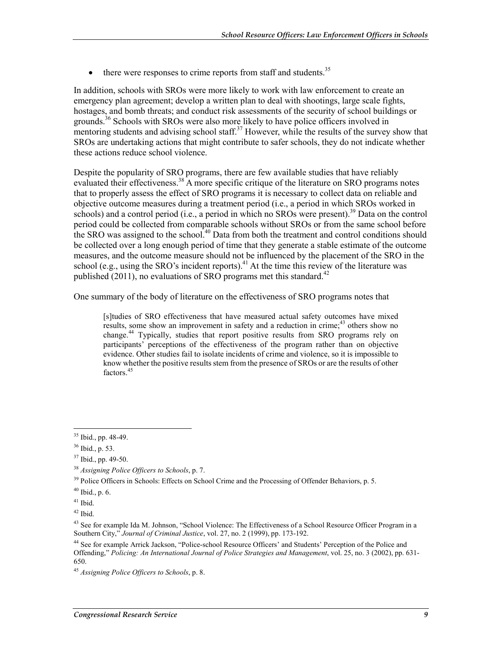$\bullet$  there were responses to crime reports from staff and students.<sup>35</sup>

In addition, schools with SROs were more likely to work with law enforcement to create an emergency plan agreement; develop a written plan to deal with shootings, large scale fights, hostages, and bomb threats; and conduct risk assessments of the security of school buildings or grounds.36 Schools with SROs were also more likely to have police officers involved in mentoring students and advising school staff.<sup>37</sup> However, while the results of the survey show that SROs are undertaking actions that might contribute to safer schools, they do not indicate whether these actions reduce school violence.

Despite the popularity of SRO programs, there are few available studies that have reliably evaluated their effectiveness.<sup>38</sup> A more specific critique of the literature on SRO programs notes that to properly assess the effect of SRO programs it is necessary to collect data on reliable and objective outcome measures during a treatment period (i.e., a period in which SROs worked in schools) and a control period (i.e., a period in which no SROs were present).<sup>39</sup> Data on the control period could be collected from comparable schools without SROs or from the same school before the SRO was assigned to the school.<sup>40</sup> Data from both the treatment and control conditions should be collected over a long enough period of time that they generate a stable estimate of the outcome measures, and the outcome measure should not be influenced by the placement of the SRO in the school (e.g., using the SRO's incident reports).<sup>41</sup> At the time this review of the literature was published (2011), no evaluations of SRO programs met this standard.<sup>42</sup>

One summary of the body of literature on the effectiveness of SRO programs notes that

[s]tudies of SRO effectiveness that have measured actual safety outcomes have mixed results, some show an improvement in safety and a reduction in crime;<sup>43</sup> others show no change.44 Typically, studies that report positive results from SRO programs rely on participants' perceptions of the effectiveness of the program rather than on objective evidence. Other studies fail to isolate incidents of crime and violence, so it is impossible to know whether the positive results stem from the presence of SROs or are the results of other factors<sup>45</sup>

<u>.</u>

<sup>35</sup> Ibid., pp. 48-49.

<sup>36</sup> Ibid., p. 53.

<sup>37</sup> Ibid., pp. 49-50.

<sup>38</sup> *Assigning Police Officers to Schools*, p. 7.

<sup>&</sup>lt;sup>39</sup> Police Officers in Schools: Effects on School Crime and the Processing of Offender Behaviors, p. 5.

 $40$  Ibid., p. 6.

 $41$  Ibid.

 $42$  Ibid.

<sup>&</sup>lt;sup>43</sup> See for example Ida M. Johnson, "School Violence: The Effectiveness of a School Resource Officer Program in a Southern City," *Journal of Criminal Justice*, vol. 27, no. 2 (1999), pp. 173-192.

<sup>44</sup> See for example Arrick Jackson, "Police-school Resource Officers' and Students' Perception of the Police and Offending," *Policing: An International Journal of Police Strategies and Management*, vol. 25, no. 3 (2002), pp. 631- 650.

<sup>45</sup> *Assigning Police Officers to Schools*, p. 8.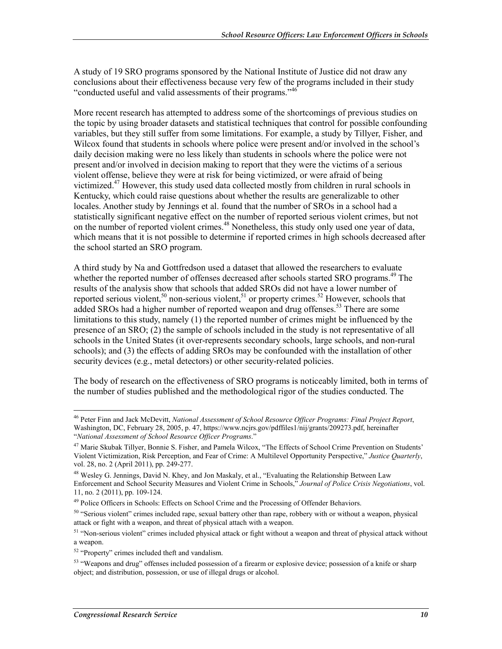A study of 19 SRO programs sponsored by the National Institute of Justice did not draw any conclusions about their effectiveness because very few of the programs included in their study "conducted useful and valid assessments of their programs."46

More recent research has attempted to address some of the shortcomings of previous studies on the topic by using broader datasets and statistical techniques that control for possible confounding variables, but they still suffer from some limitations. For example, a study by Tillyer, Fisher, and Wilcox found that students in schools where police were present and/or involved in the school's daily decision making were no less likely than students in schools where the police were not present and/or involved in decision making to report that they were the victims of a serious violent offense, believe they were at risk for being victimized, or were afraid of being victimized.<sup>47</sup> However, this study used data collected mostly from children in rural schools in Kentucky, which could raise questions about whether the results are generalizable to other locales. Another study by Jennings et al. found that the number of SROs in a school had a statistically significant negative effect on the number of reported serious violent crimes, but not on the number of reported violent crimes.<sup>48</sup> Nonetheless, this study only used one year of data, which means that it is not possible to determine if reported crimes in high schools decreased after the school started an SRO program.

A third study by Na and Gottfredson used a dataset that allowed the researchers to evaluate whether the reported number of offenses decreased after schools started SRO programs.<sup>49</sup> The results of the analysis show that schools that added SROs did not have a lower number of reported serious violent,<sup>50</sup> non-serious violent,<sup>51</sup> or property crimes.<sup>52</sup> However, schools that added SROs had a higher number of reported weapon and drug offenses.<sup>53</sup> There are some limitations to this study, namely (1) the reported number of crimes might be influenced by the presence of an SRO; (2) the sample of schools included in the study is not representative of all schools in the United States (it over-represents secondary schools, large schools, and non-rural schools); and (3) the effects of adding SROs may be confounded with the installation of other security devices (e.g., metal detectors) or other security-related policies.

The body of research on the effectiveness of SRO programs is noticeably limited, both in terms of the number of studies published and the methodological rigor of the studies conducted. The

<sup>46</sup> Peter Finn and Jack McDevitt, *National Assessment of School Resource Officer Programs: Final Project Report*, Washington, DC, February 28, 2005, p. 47, https://www.ncjrs.gov/pdffiles1/nij/grants/209273.pdf, hereinafter "*National Assessment of School Resource Officer Programs*."

<sup>47</sup> Marie Skubak Tillyer, Bonnie S. Fisher, and Pamela Wilcox, "The Effects of School Crime Prevention on Students' Violent Victimization, Risk Perception, and Fear of Crime: A Multilevel Opportunity Perspective," *Justice Quarterly*, vol. 28, no. 2 (April 2011), pp. 249-277.

<sup>&</sup>lt;sup>48</sup> Wesley G. Jennings, David N. Khey, and Jon Maskaly, et al., "Evaluating the Relationship Between Law Enforcement and School Security Measures and Violent Crime in Schools," *Journal of Police Crisis Negotiations*, vol. 11, no. 2 (2011), pp. 109-124.

<sup>&</sup>lt;sup>49</sup> Police Officers in Schools: Effects on School Crime and the Processing of Offender Behaviors.

 $50$  "Serious violent" crimes included rape, sexual battery other than rape, robbery with or without a weapon, physical attack or fight with a weapon, and threat of physical attach with a weapon.

<sup>&</sup>lt;sup>51</sup> "Non-serious violent" crimes included physical attack or fight without a weapon and threat of physical attack without a weapon.

<sup>52 &</sup>quot;Property" crimes included theft and vandalism.

<sup>&</sup>lt;sup>53</sup> "Weapons and drug" offenses included possession of a firearm or explosive device; possession of a knife or sharp object; and distribution, possession, or use of illegal drugs or alcohol.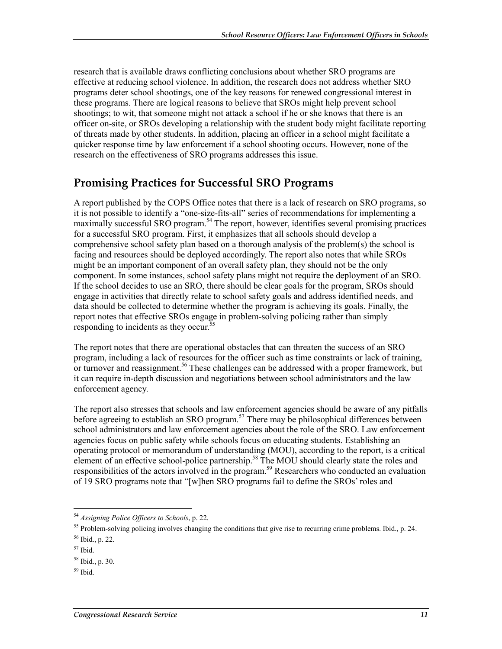research that is available draws conflicting conclusions about whether SRO programs are effective at reducing school violence. In addition, the research does not address whether SRO programs deter school shootings, one of the key reasons for renewed congressional interest in these programs. There are logical reasons to believe that SROs might help prevent school shootings; to wit, that someone might not attack a school if he or she knows that there is an officer on-site, or SROs developing a relationship with the student body might facilitate reporting of threats made by other students. In addition, placing an officer in a school might facilitate a quicker response time by law enforcement if a school shooting occurs. However, none of the research on the effectiveness of SRO programs addresses this issue.

### **Promising Practices for Successful SRO Programs**

A report published by the COPS Office notes that there is a lack of research on SRO programs, so it is not possible to identify a "one-size-fits-all" series of recommendations for implementing a maximally successful SRO program.<sup>54</sup> The report, however, identifies several promising practices for a successful SRO program. First, it emphasizes that all schools should develop a comprehensive school safety plan based on a thorough analysis of the problem(s) the school is facing and resources should be deployed accordingly. The report also notes that while SROs might be an important component of an overall safety plan, they should not be the only component. In some instances, school safety plans might not require the deployment of an SRO. If the school decides to use an SRO, there should be clear goals for the program, SROs should engage in activities that directly relate to school safety goals and address identified needs, and data should be collected to determine whether the program is achieving its goals. Finally, the report notes that effective SROs engage in problem-solving policing rather than simply responding to incidents as they occur.<sup>55</sup>

The report notes that there are operational obstacles that can threaten the success of an SRO program, including a lack of resources for the officer such as time constraints or lack of training, or turnover and reassignment.<sup>56</sup> These challenges can be addressed with a proper framework, but it can require in-depth discussion and negotiations between school administrators and the law enforcement agency.

The report also stresses that schools and law enforcement agencies should be aware of any pitfalls before agreeing to establish an SRO program.<sup>57</sup> There may be philosophical differences between school administrators and law enforcement agencies about the role of the SRO. Law enforcement agencies focus on public safety while schools focus on educating students. Establishing an operating protocol or memorandum of understanding (MOU), according to the report, is a critical element of an effective school-police partnership.<sup>58</sup> The MOU should clearly state the roles and responsibilities of the actors involved in the program.<sup>59</sup> Researchers who conducted an evaluation of 19 SRO programs note that "[w]hen SRO programs fail to define the SROs' roles and

<sup>1</sup> <sup>54</sup> *Assigning Police Officers to Schools*, p. 22.

 $55$  Problem-solving policing involves changing the conditions that give rise to recurring crime problems. Ibid., p. 24.

 $56$  Ibid., p. 22.

<sup>57</sup> Ibid.

 $58$  Ibid., p. 30.

 $59$  Ibid.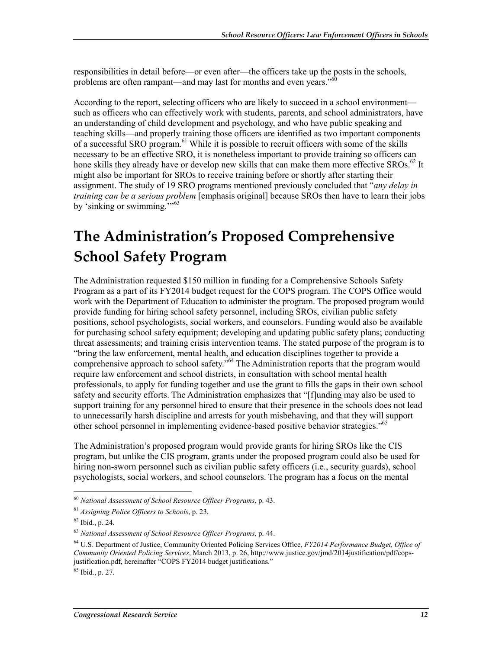responsibilities in detail before—or even after—the officers take up the posts in the schools, problems are often rampant—and may last for months and even years."<sup>60</sup>

According to the report, selecting officers who are likely to succeed in a school environment such as officers who can effectively work with students, parents, and school administrators, have an understanding of child development and psychology, and who have public speaking and teaching skills—and properly training those officers are identified as two important components of a successful SRO program.<sup>61</sup> While it is possible to recruit officers with some of the skills necessary to be an effective SRO, it is nonetheless important to provide training so officers can hone skills they already have or develop new skills that can make them more effective SROs.<sup>62</sup> It might also be important for SROs to receive training before or shortly after starting their assignment. The study of 19 SRO programs mentioned previously concluded that "*any delay in training can be a serious problem* [emphasis original] because SROs then have to learn their jobs by 'sinking or swimming."<sup>53</sup>

# **The Administration's Proposed Comprehensive School Safety Program**

The Administration requested \$150 million in funding for a Comprehensive Schools Safety Program as a part of its FY2014 budget request for the COPS program. The COPS Office would work with the Department of Education to administer the program. The proposed program would provide funding for hiring school safety personnel, including SROs, civilian public safety positions, school psychologists, social workers, and counselors. Funding would also be available for purchasing school safety equipment; developing and updating public safety plans; conducting threat assessments; and training crisis intervention teams. The stated purpose of the program is to "bring the law enforcement, mental health, and education disciplines together to provide a comprehensive approach to school safety."<sup>64</sup> The Administration reports that the program would require law enforcement and school districts, in consultation with school mental health professionals, to apply for funding together and use the grant to fills the gaps in their own school safety and security efforts. The Administration emphasizes that "[f]unding may also be used to support training for any personnel hired to ensure that their presence in the schools does not lead to unnecessarily harsh discipline and arrests for youth misbehaving, and that they will support other school personnel in implementing evidence-based positive behavior strategies."65

The Administration's proposed program would provide grants for hiring SROs like the CIS program, but unlike the CIS program, grants under the proposed program could also be used for hiring non-sworn personnel such as civilian public safety officers (i.e., security guards), school psychologists, social workers, and school counselors. The program has a focus on the mental

1

 $65$  Ibid., p. 27.

<sup>60</sup> *National Assessment of School Resource Officer Programs*, p. 43.

<sup>61</sup> *Assigning Police Officers to Schools*, p. 23.

 $62$  Ibid., p. 24.

<sup>63</sup> *National Assessment of School Resource Officer Programs*, p. 44.

<sup>64</sup> U.S. Department of Justice, Community Oriented Policing Services Office, *FY2014 Performance Budget, Office of Community Oriented Policing Services*, March 2013, p. 26, http://www.justice.gov/jmd/2014justification/pdf/copsjustification.pdf, hereinafter "COPS FY2014 budget justifications."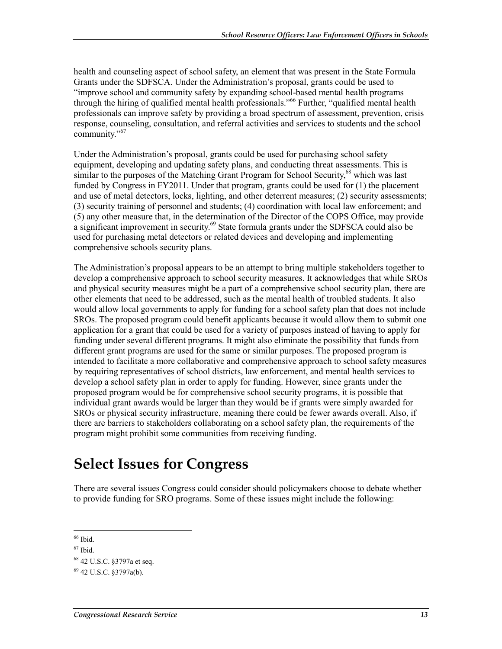health and counseling aspect of school safety, an element that was present in the State Formula Grants under the SDFSCA. Under the Administration's proposal, grants could be used to "improve school and community safety by expanding school-based mental health programs through the hiring of qualified mental health professionals."<sup>66</sup> Further, "qualified mental health professionals can improve safety by providing a broad spectrum of assessment, prevention, crisis response, counseling, consultation, and referral activities and services to students and the school community."<sup>67</sup>

Under the Administration's proposal, grants could be used for purchasing school safety equipment, developing and updating safety plans, and conducting threat assessments. This is similar to the purposes of the Matching Grant Program for School Security,<sup>68</sup> which was last funded by Congress in FY2011. Under that program, grants could be used for (1) the placement and use of metal detectors, locks, lighting, and other deterrent measures; (2) security assessments; (3) security training of personnel and students; (4) coordination with local law enforcement; and (5) any other measure that, in the determination of the Director of the COPS Office, may provide a significant improvement in security.<sup>69</sup> State formula grants under the SDFSCA could also be used for purchasing metal detectors or related devices and developing and implementing comprehensive schools security plans.

The Administration's proposal appears to be an attempt to bring multiple stakeholders together to develop a comprehensive approach to school security measures. It acknowledges that while SROs and physical security measures might be a part of a comprehensive school security plan, there are other elements that need to be addressed, such as the mental health of troubled students. It also would allow local governments to apply for funding for a school safety plan that does not include SROs. The proposed program could benefit applicants because it would allow them to submit one application for a grant that could be used for a variety of purposes instead of having to apply for funding under several different programs. It might also eliminate the possibility that funds from different grant programs are used for the same or similar purposes. The proposed program is intended to facilitate a more collaborative and comprehensive approach to school safety measures by requiring representatives of school districts, law enforcement, and mental health services to develop a school safety plan in order to apply for funding. However, since grants under the proposed program would be for comprehensive school security programs, it is possible that individual grant awards would be larger than they would be if grants were simply awarded for SROs or physical security infrastructure, meaning there could be fewer awards overall. Also, if there are barriers to stakeholders collaborating on a school safety plan, the requirements of the program might prohibit some communities from receiving funding.

## **Select Issues for Congress**

There are several issues Congress could consider should policymakers choose to debate whether to provide funding for SRO programs. Some of these issues might include the following:

<sup>1</sup>  $66$  Ibid.

<sup>67</sup> Ibid.

<sup>68 42</sup> U.S.C. §3797a et seq.

 $69$  42 U.S.C. §3797a(b).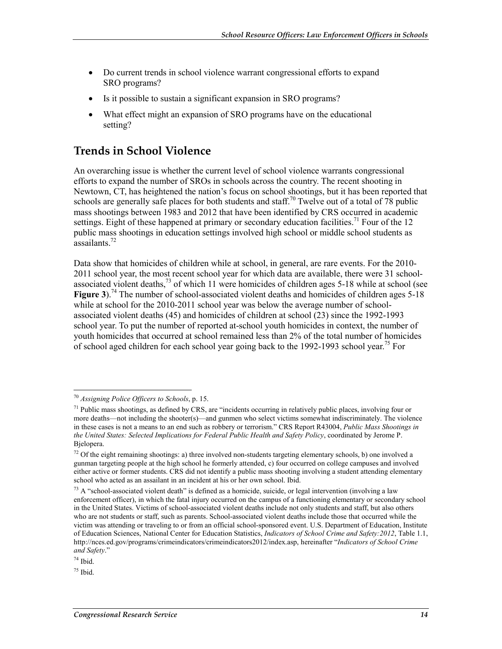- Do current trends in school violence warrant congressional efforts to expand SRO programs?
- Is it possible to sustain a significant expansion in SRO programs?
- What effect might an expansion of SRO programs have on the educational setting?

### **Trends in School Violence**

An overarching issue is whether the current level of school violence warrants congressional efforts to expand the number of SROs in schools across the country. The recent shooting in Newtown, CT, has heightened the nation's focus on school shootings, but it has been reported that schools are generally safe places for both students and staff.<sup>70</sup> Twelve out of a total of 78 public mass shootings between 1983 and 2012 that have been identified by CRS occurred in academic settings. Eight of these happened at primary or secondary education facilities.<sup>71</sup> Four of the 12 public mass shootings in education settings involved high school or middle school students as assailants<sup>72</sup>

Data show that homicides of children while at school, in general, are rare events. For the 2010- 2011 school year, the most recent school year for which data are available, there were 31 schoolassociated violent deaths, $^{73}$  of which 11 were homicides of children ages 5-18 while at school (see **Figure 3**).<sup>74</sup> The number of school-associated violent deaths and homicides of children ages 5-18 while at school for the 2010-2011 school year was below the average number of schoolassociated violent deaths (45) and homicides of children at school (23) since the 1992-1993 school year. To put the number of reported at-school youth homicides in context, the number of youth homicides that occurred at school remained less than 2% of the total number of homicides of school aged children for each school year going back to the 1992-1993 school year.<sup>75</sup> For

<sup>1</sup> <sup>70</sup> *Assigning Police Officers to Schools*, p. 15.

 $71$  Public mass shootings, as defined by CRS, are "incidents occurring in relatively public places, involving four or more deaths—not including the shooter(s)—and gunmen who select victims somewhat indiscriminately. The violence in these cases is not a means to an end such as robbery or terrorism." CRS Report R43004, *Public Mass Shootings in the United States: Selected Implications for Federal Public Health and Safety Policy*, coordinated by Jerome P. Bjelopera.

 $72$  Of the eight remaining shootings: a) three involved non-students targeting elementary schools, b) one involved a gunman targeting people at the high school he formerly attended, c) four occurred on college campuses and involved either active or former students. CRS did not identify a public mass shooting involving a student attending elementary school who acted as an assailant in an incident at his or her own school. Ibid.

 $73$  A "school-associated violent death" is defined as a homicide, suicide, or legal intervention (involving a law enforcement officer), in which the fatal injury occurred on the campus of a functioning elementary or secondary school in the United States. Victims of school-associated violent deaths include not only students and staff, but also others who are not students or staff, such as parents. School-associated violent deaths include those that occurred while the victim was attending or traveling to or from an official school-sponsored event. U.S. Department of Education, Institute of Education Sciences, National Center for Education Statistics, *Indicators of School Crime and Safety:2012*, Table 1.1, http://nces.ed.gov/programs/crimeindicators/crimeindicators2012/index.asp, hereinafter "*Indicators of School Crime and Safety*."

<sup>74</sup> Ibid.

 $75$  Ibid.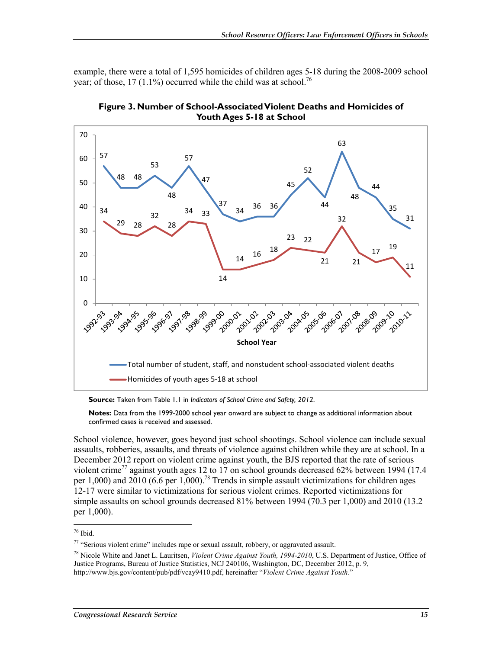example, there were a total of 1,595 homicides of children ages 5-18 during the 2008-2009 school year; of those, 17 (1.1%) occurred while the child was at school.<sup>76</sup>





**Source:** Taken from Table 1.1 in *Indicators of School Crime and Safety, 2012*.

**Notes:** Data from the 1999-2000 school year onward are subject to change as additional information about confirmed cases is received and assessed.

School violence, however, goes beyond just school shootings. School violence can include sexual assaults, robberies, assaults, and threats of violence against children while they are at school. In a December 2012 report on violent crime against youth, the BJS reported that the rate of serious violent crime<sup>77</sup> against youth ages 12 to 17 on school grounds decreased 62% between 1994 (17.4) per 1,000) and 2010 (6.6 per 1,000).<sup>78</sup> Trends in simple assault victimizations for children ages 12-17 were similar to victimizations for serious violent crimes. Reported victimizations for simple assaults on school grounds decreased 81% between 1994 (70.3 per 1,000) and 2010 (13.2 per 1,000).

<sup>76</sup> Ibid.

<sup>77 &</sup>quot;Serious violent crime" includes rape or sexual assault, robbery, or aggravated assault.

<sup>78</sup> Nicole White and Janet L. Lauritsen, *Violent Crime Against Youth, 1994-2010*, U.S. Department of Justice, Office of Justice Programs, Bureau of Justice Statistics, NCJ 240106, Washington, DC, December 2012, p. 9, http://www.bjs.gov/content/pub/pdf/vcay9410.pdf, hereinafter "*Violent Crime Against Youth.*"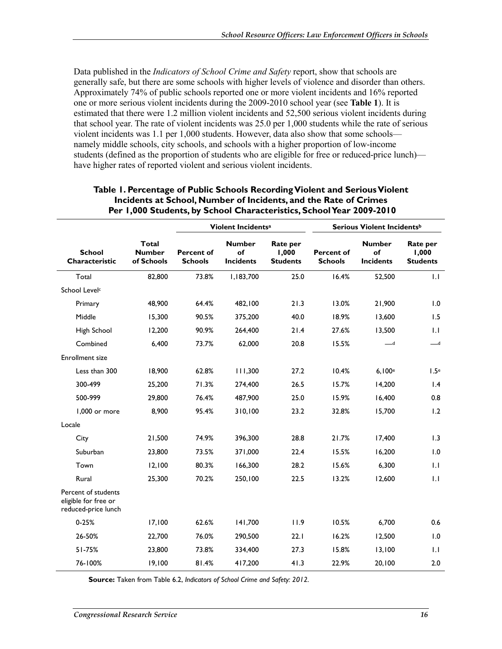Data published in the *Indicators of School Crime and Safety* report, show that schools are generally safe, but there are some schools with higher levels of violence and disorder than others. Approximately 74% of public schools reported one or more violent incidents and 16% reported one or more serious violent incidents during the 2009-2010 school year (see **Table 1**). It is estimated that there were 1.2 million violent incidents and 52,500 serious violent incidents during that school year. The rate of violent incidents was 25.0 per 1,000 students while the rate of serious violent incidents was 1.1 per 1,000 students. However, data also show that some schools namely middle schools, city schools, and schools with a higher proportion of low-income students (defined as the proportion of students who are eligible for free or reduced-price lunch) have higher rates of reported violent and serious violent incidents.

|                                                                    |                                             |                                     | Violent Incidents <sup>a</sup>          |                                      |                                     | Serious Violent Incidents <sup>b</sup>  |                                      |
|--------------------------------------------------------------------|---------------------------------------------|-------------------------------------|-----------------------------------------|--------------------------------------|-------------------------------------|-----------------------------------------|--------------------------------------|
| <b>School</b><br>Characteristic                                    | <b>Total</b><br><b>Number</b><br>of Schools | <b>Percent of</b><br><b>Schools</b> | <b>Number</b><br>of<br><b>Incidents</b> | Rate per<br>1,000<br><b>Students</b> | <b>Percent of</b><br><b>Schools</b> | <b>Number</b><br>of<br><b>Incidents</b> | Rate per<br>1,000<br><b>Students</b> |
| Total                                                              | 82,800                                      | 73.8%                               | 1,183,700                               | 25.0                                 | 16.4%                               | 52,500                                  | 1.1                                  |
| School Level <sup>c</sup>                                          |                                             |                                     |                                         |                                      |                                     |                                         |                                      |
| Primary                                                            | 48,900                                      | 64.4%                               | 482,100                                 | 21.3                                 | 13.0%                               | 21,900                                  | 1.0                                  |
| Middle                                                             | 15,300                                      | 90.5%                               | 375,200                                 | 40.0                                 | 18.9%                               | 13,600                                  | 1.5                                  |
| High School                                                        | 12,200                                      | 90.9%                               | 264,400                                 | 21.4                                 | 27.6%                               | 13,500                                  | 1.1                                  |
| Combined                                                           | 6,400                                       | 73.7%                               | 62,000                                  | 20.8                                 | 15.5%                               | $-$ d                                   | $\overline{\phantom{a}}$ d           |
| Enrollment size                                                    |                                             |                                     |                                         |                                      |                                     |                                         |                                      |
| Less than 300                                                      | 18,900                                      | 62.8%                               | 111,300                                 | 27.2                                 | 10.4%                               | 6,100e                                  | 1.5e                                 |
| 300-499                                                            | 25,200                                      | 71.3%                               | 274,400                                 | 26.5                                 | 15.7%                               | 14,200                                  | $\mathsf{I}$ .4                      |
| 500-999                                                            | 29,800                                      | 76.4%                               | 487,900                                 | 25.0                                 | 15.9%                               | 16,400                                  | 0.8                                  |
| 1,000 or more                                                      | 8,900                                       | 95.4%                               | 310,100                                 | 23.2                                 | 32.8%                               | 15,700                                  | 1.2                                  |
| Locale                                                             |                                             |                                     |                                         |                                      |                                     |                                         |                                      |
| City                                                               | 21,500                                      | 74.9%                               | 396,300                                 | 28.8                                 | 21.7%                               | 17,400                                  | 1.3                                  |
| Suburban                                                           | 23,800                                      | 73.5%                               | 371,000                                 | 22.4                                 | 15.5%                               | 16,200                                  | 1.0                                  |
| Town                                                               | 12,100                                      | 80.3%                               | 166,300                                 | 28.2                                 | 15.6%                               | 6,300                                   | 1.1                                  |
| Rural                                                              | 25,300                                      | 70.2%                               | 250,100                                 | 22.5                                 | 13.2%                               | 12,600                                  | 1.1                                  |
| Percent of students<br>eligible for free or<br>reduced-price lunch |                                             |                                     |                                         |                                      |                                     |                                         |                                      |
| $0 - 25%$                                                          | 17,100                                      | 62.6%                               | 141,700                                 | 11.9                                 | 10.5%                               | 6,700                                   | 0.6                                  |
| 26-50%                                                             | 22,700                                      | 76.0%                               | 290,500                                 | 22.1                                 | 16.2%                               | 12,500                                  | 1.0                                  |
| 51-75%                                                             | 23,800                                      | 73.8%                               | 334,400                                 | 27.3                                 | 15.8%                               | 13,100                                  | 1.1                                  |
| 76-100%                                                            | 19,100                                      | 81.4%                               | 417,200                                 | 41.3                                 | 22.9%                               | 20,100                                  | 2.0                                  |

#### **Table 1. Percentage of Public Schools Recording Violent and Serious Violent Incidents at School, Number of Incidents, and the Rate of Crimes Per 1,000 Students, by School Characteristics, School Year 2009-2010**

**Source:** Taken from Table 6.2, *Indicators of School Crime and Safety: 2012*.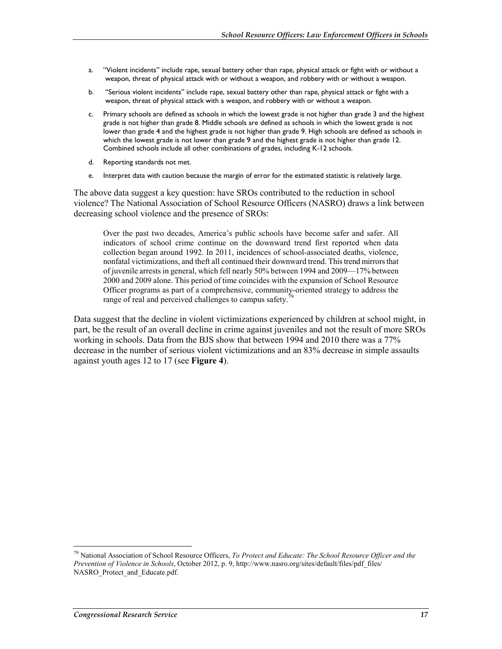- a. "Violent incidents" include rape, sexual battery other than rape, physical attack or fight with or without a weapon, threat of physical attack with or without a weapon, and robbery with or without a weapon.
- b. "Serious violent incidents" include rape, sexual battery other than rape, physical attack or fight with a weapon, threat of physical attack with a weapon, and robbery with or without a weapon.
- c. Primary schools are defined as schools in which the lowest grade is not higher than grade 3 and the highest grade is not higher than grade 8. Middle schools are defined as schools in which the lowest grade is not lower than grade 4 and the highest grade is not higher than grade 9. High schools are defined as schools in which the lowest grade is not lower than grade 9 and the highest grade is not higher than grade 12. Combined schools include all other combinations of grades, including K-12 schools.
- d. Reporting standards not met.
- e. Interpret data with caution because the margin of error for the estimated statistic is relatively large.

The above data suggest a key question: have SROs contributed to the reduction in school violence? The National Association of School Resource Officers (NASRO) draws a link between decreasing school violence and the presence of SROs:

Over the past two decades, America's public schools have become safer and safer. All indicators of school crime continue on the downward trend first reported when data collection began around 1992. In 2011, incidences of school-associated deaths, violence, nonfatal victimizations, and theft all continued their downward trend. This trend mirrors that of juvenile arrests in general, which fell nearly 50% between 1994 and 2009––17% between 2000 and 2009 alone. This period of time coincides with the expansion of School Resource Officer programs as part of a comprehensive, community-oriented strategy to address the range of real and perceived challenges to campus safety.<sup>7</sup>

Data suggest that the decline in violent victimizations experienced by children at school might, in part, be the result of an overall decline in crime against juveniles and not the result of more SROs working in schools. Data from the BJS show that between 1994 and 2010 there was a 77% decrease in the number of serious violent victimizations and an 83% decrease in simple assaults against youth ages 12 to 17 (see **Figure 4**).

<sup>79</sup> National Association of School Resource Officers, *To Protect and Educate: The School Resource Officer and the Prevention of Violence in Schools*, October 2012, p. 9, http://www.nasro.org/sites/default/files/pdf\_files/ NASRO Protect and Educate.pdf.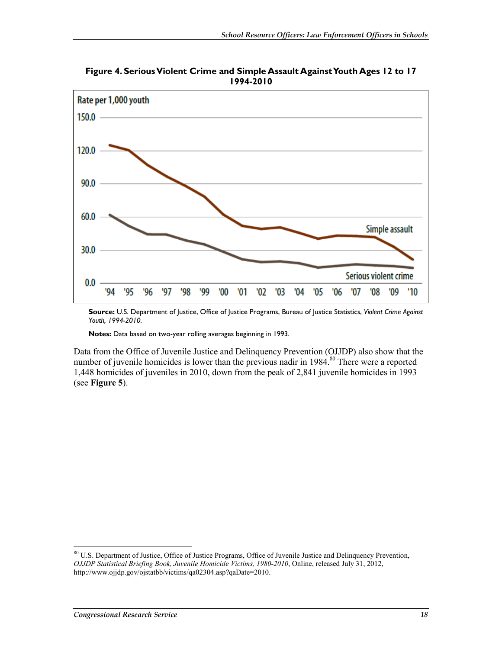

**Figure 4. Serious Violent Crime and Simple Assault Against Youth Ages 12 to 17 1994-2010** 

**Source:** U.S. Department of Justice, Office of Justice Programs, Bureau of Justice Statistics, *Violent Crime Against Youth, 1994-2010.* 

**Notes:** Data based on two-year rolling averages beginning in 1993.

Data from the Office of Juvenile Justice and Delinquency Prevention (OJJDP) also show that the number of juvenile homicides is lower than the previous nadir in 1984.<sup>80</sup> There were a reported 1,448 homicides of juveniles in 2010, down from the peak of 2,841 juvenile homicides in 1993 (see **Figure 5**).

<sup>80</sup> U.S. Department of Justice, Office of Justice Programs, Office of Juvenile Justice and Delinquency Prevention, *OJJDP Statistical Briefing Book, Juvenile Homicide Victims, 1980-2010*, Online, released July 31, 2012, http://www.ojjdp.gov/ojstatbb/victims/qa02304.asp?qaDate=2010.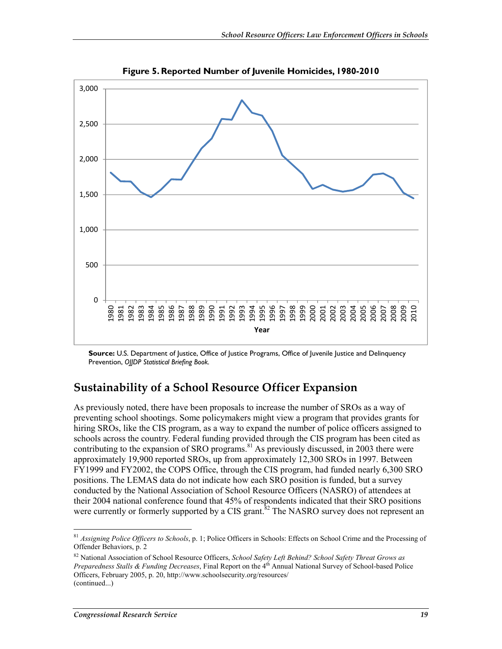

**Figure 5. Reported Number of Juvenile Homicides, 1980-2010** 

**Source:** U.S. Department of Justice, Office of Justice Programs, Office of Juvenile Justice and Delinguency Prevention, *OJJDP Statistical Briefing Book.* 

### **Sustainability of a School Resource Officer Expansion**

As previously noted, there have been proposals to increase the number of SROs as a way of preventing school shootings. Some policymakers might view a program that provides grants for hiring SROs, like the CIS program, as a way to expand the number of police officers assigned to schools across the country. Federal funding provided through the CIS program has been cited as contributing to the expansion of SRO programs.<sup>81</sup> As previously discussed, in 2003 there were approximately 19,900 reported SROs, up from approximately 12,300 SROs in 1997. Between FY1999 and FY2002, the COPS Office, through the CIS program, had funded nearly 6,300 SRO positions. The LEMAS data do not indicate how each SRO position is funded, but a survey conducted by the National Association of School Resource Officers (NASRO) of attendees at their 2004 national conference found that 45% of respondents indicated that their SRO positions were currently or formerly supported by a CIS grant.<sup>82</sup> The NASRO survey does not represent an

<sup>81</sup> *Assigning Police Officers to Schools*, p. 1; Police Officers in Schools: Effects on School Crime and the Processing of Offender Behaviors, p. 2

<sup>82</sup> National Association of School Resource Officers, *School Safety Left Behind? School Safety Threat Grows as Preparedness Stalls & Funding Decreases*, Final Report on the 4<sup>th</sup> Annual National Survey of School-based Police Officers, February 2005, p. 20, http://www.schoolsecurity.org/resources/ (continued...)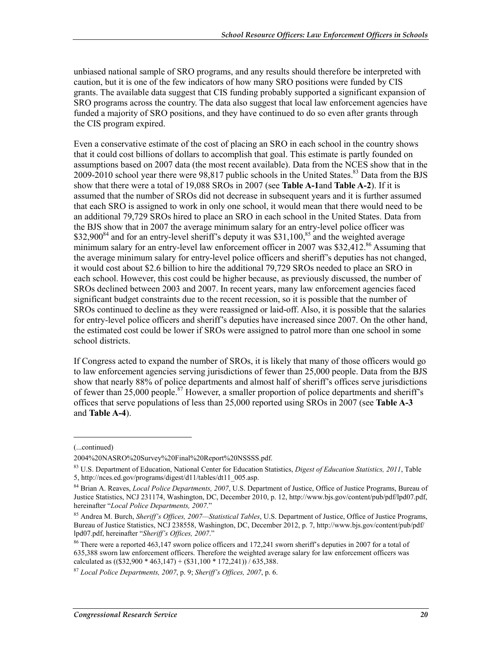unbiased national sample of SRO programs, and any results should therefore be interpreted with caution, but it is one of the few indicators of how many SRO positions were funded by CIS grants. The available data suggest that CIS funding probably supported a significant expansion of SRO programs across the country. The data also suggest that local law enforcement agencies have funded a majority of SRO positions, and they have continued to do so even after grants through the CIS program expired.

Even a conservative estimate of the cost of placing an SRO in each school in the country shows that it could cost billions of dollars to accomplish that goal. This estimate is partly founded on assumptions based on 2007 data (the most recent available). Data from the NCES show that in the 2009-2010 school year there were 98,817 public schools in the United States.<sup>83</sup> Data from the BJS show that there were a total of 19,088 SROs in 2007 (see **Table A-1**and **Table A-2**). If it is assumed that the number of SROs did not decrease in subsequent years and it is further assumed that each SRO is assigned to work in only one school, it would mean that there would need to be an additional 79,729 SROs hired to place an SRO in each school in the United States. Data from the BJS show that in 2007 the average minimum salary for an entry-level police officer was  $$32,900<sup>84</sup>$  and for an entry-level sheriff's deputy it was  $$31,100<sup>85</sup>$  and the weighted average minimum salary for an entry-level law enforcement officer in 2007 was \$32,412. $86$  Assuming that the average minimum salary for entry-level police officers and sheriff's deputies has not changed, it would cost about \$2.6 billion to hire the additional 79,729 SROs needed to place an SRO in each school. However, this cost could be higher because, as previously discussed, the number of SROs declined between 2003 and 2007. In recent years, many law enforcement agencies faced significant budget constraints due to the recent recession, so it is possible that the number of SROs continued to decline as they were reassigned or laid-off. Also, it is possible that the salaries for entry-level police officers and sheriff's deputies have increased since 2007. On the other hand, the estimated cost could be lower if SROs were assigned to patrol more than one school in some school districts.

If Congress acted to expand the number of SROs, it is likely that many of those officers would go to law enforcement agencies serving jurisdictions of fewer than 25,000 people. Data from the BJS show that nearly 88% of police departments and almost half of sheriff's offices serve jurisdictions of fewer than  $25,000$  people.<sup>87</sup> However, a smaller proportion of police departments and sheriff's offices that serve populations of less than 25,000 reported using SROs in 2007 (see **Table A-3** and **Table A-4**).

 $\overline{a}$ 

<sup>(...</sup>continued)

<sup>2004%20</sup>NASRO%20Survey%20Final%20Report%20NSSSS.pdf.

<sup>83</sup> U.S. Department of Education, National Center for Education Statistics, *Digest of Education Statistics, 2011*, Table 5, http://nces.ed.gov/programs/digest/d11/tables/dt11\_005.asp.

<sup>84</sup> Brian A. Reaves, *Local Police Departments, 2007*, U.S. Department of Justice, Office of Justice Programs, Bureau of Justice Statistics, NCJ 231174, Washington, DC, December 2010, p. 12, http://www.bjs.gov/content/pub/pdf/lpd07.pdf, hereinafter "*Local Police Departments, 2007*."

<sup>85</sup> Andrea M. Burch, *Sheriff's Offices, 2007—Statistical Tables*, U.S. Department of Justice, Office of Justice Programs, Bureau of Justice Statistics, NCJ 238558, Washington, DC, December 2012, p. 7, http://www.bjs.gov/content/pub/pdf/ lpd07.pdf, hereinafter "*Sheriff's Offices, 2007*."

<sup>&</sup>lt;sup>86</sup> There were a reported 463,147 sworn police officers and 172,241 sworn sheriff's deputies in 2007 for a total of 635,388 sworn law enforcement officers. Therefore the weighted average salary for law enforcement officers was calculated as  $((\$32,900 * 463,147) + (\$31,100 * 172,241)) / 635,388$ .

<sup>87</sup> *Local Police Departments, 2007*, p. 9; *Sheriff's Offices, 2007*, p. 6.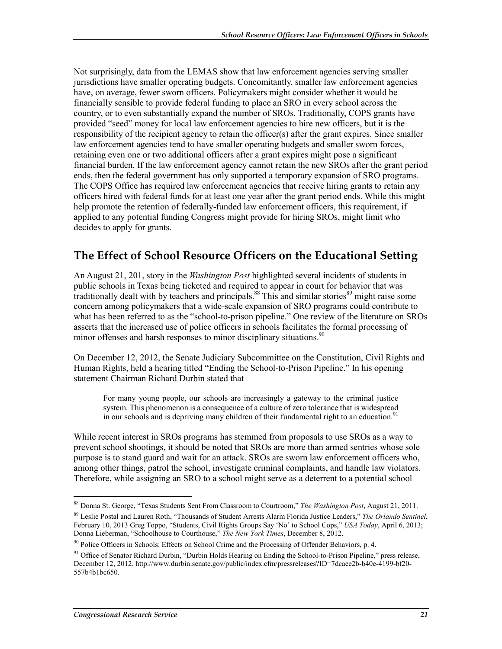Not surprisingly, data from the LEMAS show that law enforcement agencies serving smaller jurisdictions have smaller operating budgets. Concomitantly, smaller law enforcement agencies have, on average, fewer sworn officers. Policymakers might consider whether it would be financially sensible to provide federal funding to place an SRO in every school across the country, or to even substantially expand the number of SROs. Traditionally, COPS grants have provided "seed" money for local law enforcement agencies to hire new officers, but it is the responsibility of the recipient agency to retain the officer(s) after the grant expires. Since smaller law enforcement agencies tend to have smaller operating budgets and smaller sworn forces, retaining even one or two additional officers after a grant expires might pose a significant financial burden. If the law enforcement agency cannot retain the new SROs after the grant period ends, then the federal government has only supported a temporary expansion of SRO programs. The COPS Office has required law enforcement agencies that receive hiring grants to retain any officers hired with federal funds for at least one year after the grant period ends. While this might help promote the retention of federally-funded law enforcement officers, this requirement, if applied to any potential funding Congress might provide for hiring SROs, might limit who decides to apply for grants.

### **The Effect of School Resource Officers on the Educational Setting**

An August 21, 201, story in the *Washington Post* highlighted several incidents of students in public schools in Texas being ticketed and required to appear in court for behavior that was traditionally dealt with by teachers and principals.<sup>88</sup> This and similar stories<sup>89</sup> might raise some concern among policymakers that a wide-scale expansion of SRO programs could contribute to what has been referred to as the "school-to-prison pipeline." One review of the literature on SROs asserts that the increased use of police officers in schools facilitates the formal processing of minor offenses and harsh responses to minor disciplinary situations.<sup>90</sup>

On December 12, 2012, the Senate Judiciary Subcommittee on the Constitution, Civil Rights and Human Rights, held a hearing titled "Ending the School-to-Prison Pipeline." In his opening statement Chairman Richard Durbin stated that

For many young people, our schools are increasingly a gateway to the criminal justice system. This phenomenon is a consequence of a culture of zero tolerance that is widespread in our schools and is depriving many children of their fundamental right to an education.<sup>91</sup>

While recent interest in SROs programs has stemmed from proposals to use SROs as a way to prevent school shootings, it should be noted that SROs are more than armed sentries whose sole purpose is to stand guard and wait for an attack. SROs are sworn law enforcement officers who, among other things, patrol the school, investigate criminal complaints, and handle law violators. Therefore, while assigning an SRO to a school might serve as a deterrent to a potential school

<sup>88</sup> Donna St. George, "Texas Students Sent From Classroom to Courtroom," *The Washington Post*, August 21, 2011. 89 Leslie Postal and Lauren Roth, "Thousands of Student Arrests Alarm Florida Justice Leaders," *The Orlando Sentinel*, February 10, 2013 Greg Toppo, "Students, Civil Rights Groups Say 'No' to School Cops," *USA Today*, April 6, 2013; Donna Lieberman, "Schoolhouse to Courthouse," *The New York Times*, December 8, 2012.

 $90$  Police Officers in Schools: Effects on School Crime and the Processing of Offender Behaviors, p. 4.

<sup>&</sup>lt;sup>91</sup> Office of Senator Richard Durbin, "Durbin Holds Hearing on Ending the School-to-Prison Pipeline," press release, December 12, 2012, http://www.durbin.senate.gov/public/index.cfm/pressreleases?ID=7dcaee2b-b40e-4199-bf20- 557b4b1bc650.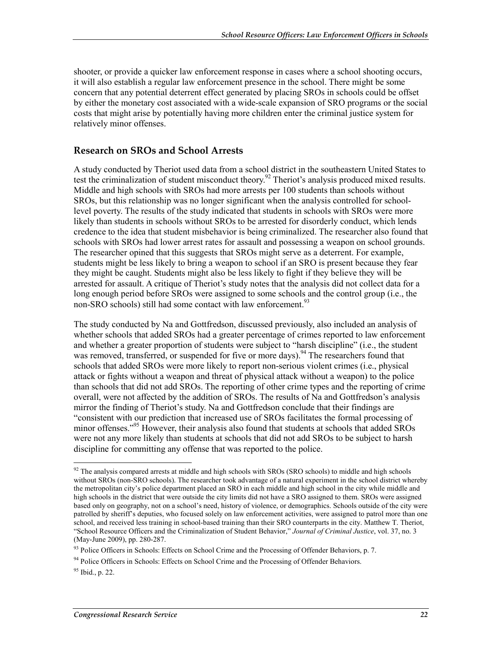shooter, or provide a quicker law enforcement response in cases where a school shooting occurs, it will also establish a regular law enforcement presence in the school. There might be some concern that any potential deterrent effect generated by placing SROs in schools could be offset by either the monetary cost associated with a wide-scale expansion of SRO programs or the social costs that might arise by potentially having more children enter the criminal justice system for relatively minor offenses.

#### **Research on SROs and School Arrests**

A study conducted by Theriot used data from a school district in the southeastern United States to test the criminalization of student misconduct theory.<sup>92</sup> Theriot's analysis produced mixed results. Middle and high schools with SROs had more arrests per 100 students than schools without SROs, but this relationship was no longer significant when the analysis controlled for schoollevel poverty. The results of the study indicated that students in schools with SROs were more likely than students in schools without SROs to be arrested for disorderly conduct, which lends credence to the idea that student misbehavior is being criminalized. The researcher also found that schools with SROs had lower arrest rates for assault and possessing a weapon on school grounds. The researcher opined that this suggests that SROs might serve as a deterrent. For example, students might be less likely to bring a weapon to school if an SRO is present because they fear they might be caught. Students might also be less likely to fight if they believe they will be arrested for assault. A critique of Theriot's study notes that the analysis did not collect data for a long enough period before SROs were assigned to some schools and the control group (i.e., the non-SRO schools) still had some contact with law enforcement.<sup>93</sup>

The study conducted by Na and Gottfredson, discussed previously, also included an analysis of whether schools that added SROs had a greater percentage of crimes reported to law enforcement and whether a greater proportion of students were subject to "harsh discipline" (i.e., the student was removed, transferred, or suspended for five or more days).<sup>94</sup> The researchers found that schools that added SROs were more likely to report non-serious violent crimes (i.e., physical attack or fights without a weapon and threat of physical attack without a weapon) to the police than schools that did not add SROs. The reporting of other crime types and the reporting of crime overall, were not affected by the addition of SROs. The results of Na and Gottfredson's analysis mirror the finding of Theriot's study. Na and Gottfredson conclude that their findings are "consistent with our prediction that increased use of SROs facilitates the formal processing of minor offenses."<sup>95</sup> However, their analysis also found that students at schools that added SROs were not any more likely than students at schools that did not add SROs to be subject to harsh discipline for committing any offense that was reported to the police.

 $92$  The analysis compared arrests at middle and high schools with SROs (SRO schools) to middle and high schools without SROs (non-SRO schools). The researcher took advantage of a natural experiment in the school district whereby the metropolitan city's police department placed an SRO in each middle and high school in the city while middle and high schools in the district that were outside the city limits did not have a SRO assigned to them. SROs were assigned based only on geography, not on a school's need, history of violence, or demographics. Schools outside of the city were patrolled by sheriff's deputies, who focused solely on law enforcement activities, were assigned to patrol more than one school, and received less training in school-based training than their SRO counterparts in the city. Matthew T. Theriot, "School Resource Officers and the Criminalization of Student Behavior," *Journal of Criminal Justice*, vol. 37, no. 3 (May-June 2009), pp. 280-287.

<sup>93</sup> Police Officers in Schools: Effects on School Crime and the Processing of Offender Behaviors, p. 7.

<sup>&</sup>lt;sup>94</sup> Police Officers in Schools: Effects on School Crime and the Processing of Offender Behaviors.

 $95$  Ibid., p. 22.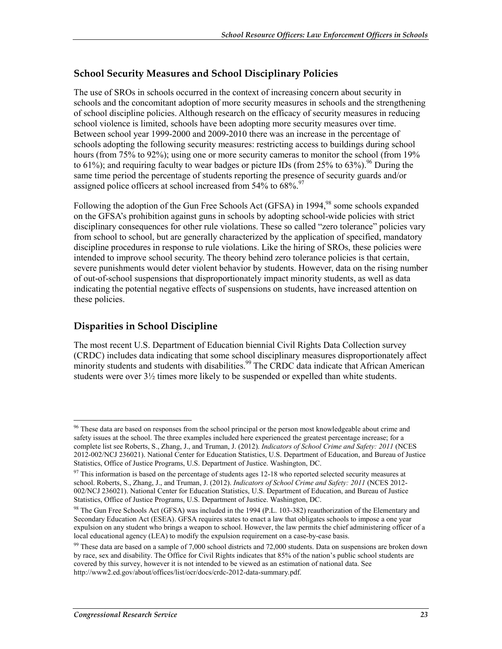#### **School Security Measures and School Disciplinary Policies**

The use of SROs in schools occurred in the context of increasing concern about security in schools and the concomitant adoption of more security measures in schools and the strengthening of school discipline policies. Although research on the efficacy of security measures in reducing school violence is limited, schools have been adopting more security measures over time. Between school year 1999-2000 and 2009-2010 there was an increase in the percentage of schools adopting the following security measures: restricting access to buildings during school hours (from 75% to 92%); using one or more security cameras to monitor the school (from 19% to 61%); and requiring faculty to wear badges or picture IDs (from 25% to 63%).<sup>96</sup> During the same time period the percentage of students reporting the presence of security guards and/or assigned police officers at school increased from  $54\%$  to  $68\%$ <sup>97</sup>

Following the adoption of the Gun Free Schools Act (GFSA) in 1994,<sup>98</sup> some schools expanded on the GFSA's prohibition against guns in schools by adopting school-wide policies with strict disciplinary consequences for other rule violations. These so called "zero tolerance" policies vary from school to school, but are generally characterized by the application of specified, mandatory discipline procedures in response to rule violations. Like the hiring of SROs, these policies were intended to improve school security. The theory behind zero tolerance policies is that certain, severe punishments would deter violent behavior by students. However, data on the rising number of out-of-school suspensions that disproportionately impact minority students, as well as data indicating the potential negative effects of suspensions on students, have increased attention on these policies.

#### **Disparities in School Discipline**

1

The most recent U.S. Department of Education biennial Civil Rights Data Collection survey (CRDC) includes data indicating that some school disciplinary measures disproportionately affect minority students and students with disabilities.<sup>99</sup> The CRDC data indicate that African American students were over 3½ times more likely to be suspended or expelled than white students.

<sup>&</sup>lt;sup>96</sup> These data are based on responses from the school principal or the person most knowledgeable about crime and safety issues at the school. The three examples included here experienced the greatest percentage increase; for a complete list see Roberts, S., Zhang, J., and Truman, J. (2012). *Indicators of School Crime and Safety: 2011* (NCES 2012-002/NCJ 236021). National Center for Education Statistics, U.S. Department of Education, and Bureau of Justice Statistics, Office of Justice Programs, U.S. Department of Justice. Washington, DC.

 $97$  This information is based on the percentage of students ages 12-18 who reported selected security measures at school. Roberts, S., Zhang, J., and Truman, J. (2012). *Indicators of School Crime and Safety: 2011* (NCES 2012- 002/NCJ 236021). National Center for Education Statistics, U.S. Department of Education, and Bureau of Justice Statistics, Office of Justice Programs, U.S. Department of Justice. Washington, DC.

<sup>&</sup>lt;sup>98</sup> The Gun Free Schools Act (GFSA) was included in the 1994 (P.L. 103-382) reauthorization of the Elementary and Secondary Education Act (ESEA). GFSA requires states to enact a law that obligates schools to impose a one year expulsion on any student who brings a weapon to school. However, the law permits the chief administering officer of a local educational agency (LEA) to modify the expulsion requirement on a case-by-case basis.

 $99$  These data are based on a sample of 7,000 school districts and 72,000 students. Data on suspensions are broken down by race, sex and disability. The Office for Civil Rights indicates that 85% of the nation's public school students are covered by this survey, however it is not intended to be viewed as an estimation of national data. See http://www2.ed.gov/about/offices/list/ocr/docs/crdc-2012-data-summary.pdf.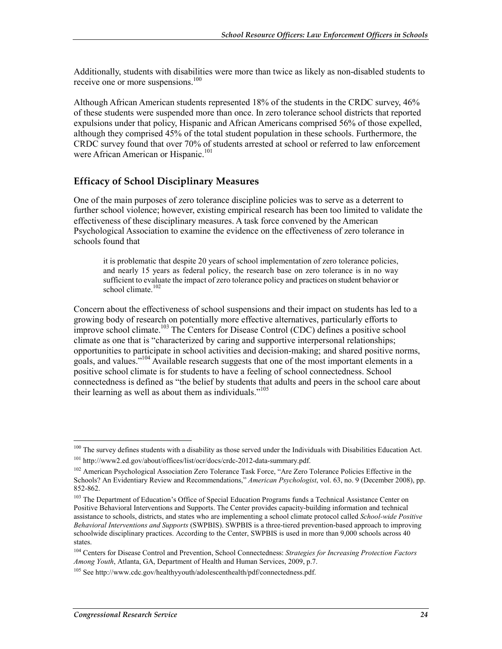Additionally, students with disabilities were more than twice as likely as non-disabled students to receive one or more suspensions.<sup>100</sup>

Although African American students represented 18% of the students in the CRDC survey, 46% of these students were suspended more than once. In zero tolerance school districts that reported expulsions under that policy, Hispanic and African Americans comprised 56% of those expelled, although they comprised 45% of the total student population in these schools. Furthermore, the CRDC survey found that over 70% of students arrested at school or referred to law enforcement were African American or Hispanic.<sup>101</sup>

#### **Efficacy of School Disciplinary Measures**

One of the main purposes of zero tolerance discipline policies was to serve as a deterrent to further school violence; however, existing empirical research has been too limited to validate the effectiveness of these disciplinary measures. A task force convened by the American Psychological Association to examine the evidence on the effectiveness of zero tolerance in schools found that

it is problematic that despite 20 years of school implementation of zero tolerance policies, and nearly 15 years as federal policy, the research base on zero tolerance is in no way sufficient to evaluate the impact of zero tolerance policy and practices on student behavior or school climate.<sup>102</sup>

Concern about the effectiveness of school suspensions and their impact on students has led to a growing body of research on potentially more effective alternatives, particularly efforts to improve school climate.<sup>103</sup> The Centers for Disease Control (CDC) defines a positive school climate as one that is "characterized by caring and supportive interpersonal relationships; opportunities to participate in school activities and decision-making; and shared positive norms, goals, and values."<sup>104</sup> Available research suggests that one of the most important elements in a positive school climate is for students to have a feeling of school connectedness. School connectedness is defined as "the belief by students that adults and peers in the school care about their learning as well as about them as individuals."<sup>105</sup>

<u>.</u>

<sup>&</sup>lt;sup>100</sup> The survey defines students with a disability as those served under the Individuals with Disabilities Education Act. 101 http://www2.ed.gov/about/offices/list/ocr/docs/crdc-2012-data-summary.pdf.

<sup>&</sup>lt;sup>102</sup> American Psychological Association Zero Tolerance Task Force, "Are Zero Tolerance Policies Effective in the Schools? An Evidentiary Review and Recommendations," *American Psychologist*, vol. 63, no. 9 (December 2008), pp. 852-862.

<sup>&</sup>lt;sup>103</sup> The Department of Education's Office of Special Education Programs funds a Technical Assistance Center on Positive Behavioral Interventions and Supports. The Center provides capacity-building information and technical assistance to schools, districts, and states who are implementing a school climate protocol called *School-wide Positive Behavioral Interventions and Supports* (SWPBIS). SWPBIS is a three-tiered prevention-based approach to improving schoolwide disciplinary practices. According to the Center, SWPBIS is used in more than 9,000 schools across 40 states.

<sup>104</sup> Centers for Disease Control and Prevention, School Connectedness: *Strategies for Increasing Protection Factors Among Youth*, Atlanta, GA, Department of Health and Human Services, 2009, p.7.

<sup>&</sup>lt;sup>105</sup> See http://www.cdc.gov/healthyyouth/adolescenthealth/pdf/connectedness.pdf.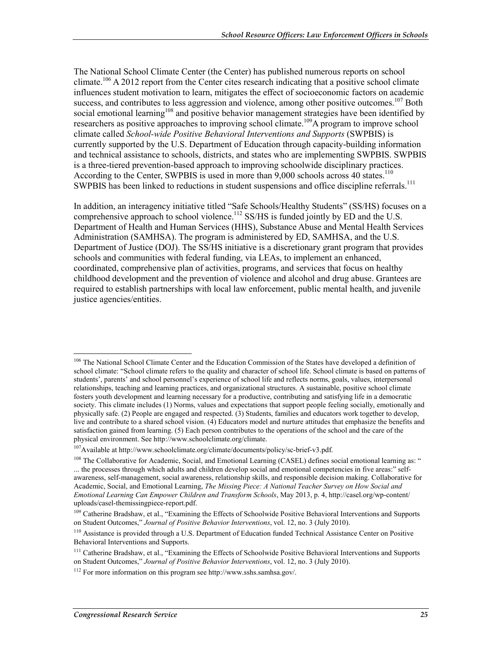The National School Climate Center (the Center) has published numerous reports on school climate.<sup>106</sup> A 2012 report from the Center cites research indicating that a positive school climate influences student motivation to learn, mitigates the effect of socioeconomic factors on academic success, and contributes to less aggression and violence, among other positive outcomes.<sup>107</sup> Both social emotional learning<sup>108</sup> and positive behavior management strategies have been identified by researchers as positive approaches to improving school climate.<sup>109</sup>A program to improve school climate called *School-wide Positive Behavioral Interventions and Supports* (SWPBIS) is currently supported by the U.S. Department of Education through capacity-building information and technical assistance to schools, districts, and states who are implementing SWPBIS. SWPBIS is a three-tiered prevention-based approach to improving schoolwide disciplinary practices. According to the Center, SWPBIS is used in more than 9,000 schools across 40 states.<sup>110</sup> SWPBIS has been linked to reductions in student suspensions and office discipline referrals.<sup>111</sup>

In addition, an interagency initiative titled "Safe Schools/Healthy Students" (SS/HS) focuses on a comprehensive approach to school violence.<sup>112</sup> SS/HS is funded jointly by ED and the U.S. Department of Health and Human Services (HHS), Substance Abuse and Mental Health Services Administration (SAMHSA). The program is administered by ED, SAMHSA, and the U.S. Department of Justice (DOJ). The SS/HS initiative is a discretionary grant program that provides schools and communities with federal funding, via LEAs, to implement an enhanced, coordinated, comprehensive plan of activities, programs, and services that focus on healthy childhood development and the prevention of violence and alcohol and drug abuse. Grantees are required to establish partnerships with local law enforcement, public mental health, and juvenile justice agencies/entities.

<sup>1</sup> <sup>106</sup> The National School Climate Center and the Education Commission of the States have developed a definition of school climate: "School climate refers to the quality and character of school life. School climate is based on patterns of students', parents' and school personnel's experience of school life and reflects norms, goals, values, interpersonal relationships, teaching and learning practices, and organizational structures. A sustainable, positive school climate fosters youth development and learning necessary for a productive, contributing and satisfying life in a democratic society. This climate includes (1) Norms, values and expectations that support people feeling socially, emotionally and physically safe. (2) People are engaged and respected. (3) Students, families and educators work together to develop, live and contribute to a shared school vision. (4) Educators model and nurture attitudes that emphasize the benefits and satisfaction gained from learning. (5) Each person contributes to the operations of the school and the care of the physical environment. See http://www.schoolclimate.org/climate.

<sup>107</sup>Available at http://www.schoolclimate.org/climate/documents/policy/sc-brief-v3.pdf.

<sup>&</sup>lt;sup>108</sup> The Collaborative for Academic, Social, and Emotional Learning (CASEL) defines social emotional learning as: " ... the processes through which adults and children develop social and emotional competencies in five areas:" selfawareness, self-management, social awareness, relationship skills, and responsible decision making. Collaborative for Academic, Social, and Emotional Learning, *The Missing Piece: A National Teacher Survey on How Social and Emotional Learning Can Empower Children and Transform Schools*, May 2013, p. 4, http://casel.org/wp-content/ uploads/casel-themissingpiece-report.pdf.

<sup>&</sup>lt;sup>109</sup> Catherine Bradshaw, et al., "Examining the Effects of Schoolwide Positive Behavioral Interventions and Supports on Student Outcomes," *Journal of Positive Behavior Interventions*, vol. 12, no. 3 (July 2010).

<sup>110</sup> Assistance is provided through a U.S. Department of Education funded Technical Assistance Center on Positive Behavioral Interventions and Supports.

<sup>&</sup>lt;sup>111</sup> Catherine Bradshaw, et al., "Examining the Effects of Schoolwide Positive Behavioral Interventions and Supports on Student Outcomes," *Journal of Positive Behavior Interventions*, vol. 12, no. 3 (July 2010).

<sup>112</sup> For more information on this program see http://www.sshs.samhsa.gov/.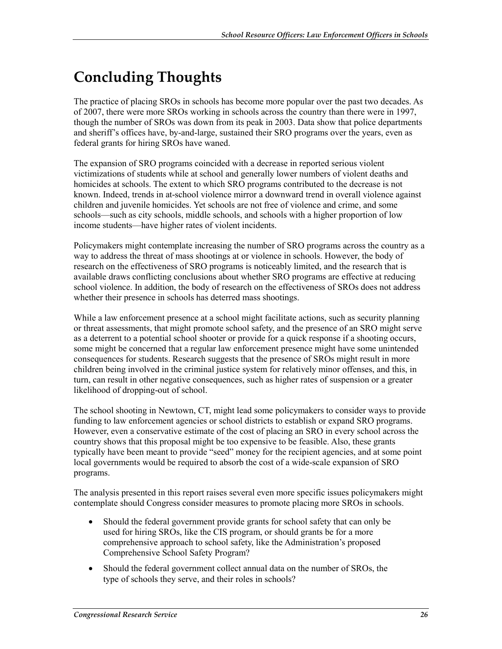# **Concluding Thoughts**

The practice of placing SROs in schools has become more popular over the past two decades. As of 2007, there were more SROs working in schools across the country than there were in 1997, though the number of SROs was down from its peak in 2003. Data show that police departments and sheriff's offices have, by-and-large, sustained their SRO programs over the years, even as federal grants for hiring SROs have waned.

The expansion of SRO programs coincided with a decrease in reported serious violent victimizations of students while at school and generally lower numbers of violent deaths and homicides at schools. The extent to which SRO programs contributed to the decrease is not known. Indeed, trends in at-school violence mirror a downward trend in overall violence against children and juvenile homicides. Yet schools are not free of violence and crime, and some schools—such as city schools, middle schools, and schools with a higher proportion of low income students—have higher rates of violent incidents.

Policymakers might contemplate increasing the number of SRO programs across the country as a way to address the threat of mass shootings at or violence in schools. However, the body of research on the effectiveness of SRO programs is noticeably limited, and the research that is available draws conflicting conclusions about whether SRO programs are effective at reducing school violence. In addition, the body of research on the effectiveness of SROs does not address whether their presence in schools has deterred mass shootings.

While a law enforcement presence at a school might facilitate actions, such as security planning or threat assessments, that might promote school safety, and the presence of an SRO might serve as a deterrent to a potential school shooter or provide for a quick response if a shooting occurs, some might be concerned that a regular law enforcement presence might have some unintended consequences for students. Research suggests that the presence of SROs might result in more children being involved in the criminal justice system for relatively minor offenses, and this, in turn, can result in other negative consequences, such as higher rates of suspension or a greater likelihood of dropping-out of school.

The school shooting in Newtown, CT, might lead some policymakers to consider ways to provide funding to law enforcement agencies or school districts to establish or expand SRO programs. However, even a conservative estimate of the cost of placing an SRO in every school across the country shows that this proposal might be too expensive to be feasible. Also, these grants typically have been meant to provide "seed" money for the recipient agencies, and at some point local governments would be required to absorb the cost of a wide-scale expansion of SRO programs.

The analysis presented in this report raises several even more specific issues policymakers might contemplate should Congress consider measures to promote placing more SROs in schools.

- Should the federal government provide grants for school safety that can only be used for hiring SROs, like the CIS program, or should grants be for a more comprehensive approach to school safety, like the Administration's proposed Comprehensive School Safety Program?
- Should the federal government collect annual data on the number of SROs, the type of schools they serve, and their roles in schools?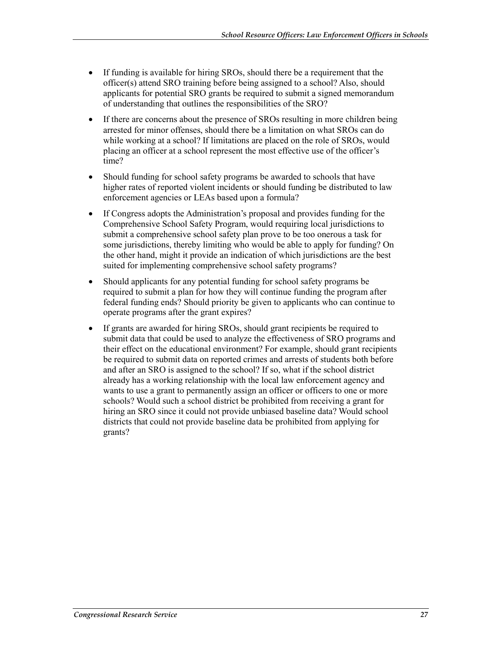- If funding is available for hiring SROs, should there be a requirement that the officer(s) attend SRO training before being assigned to a school? Also, should applicants for potential SRO grants be required to submit a signed memorandum of understanding that outlines the responsibilities of the SRO?
- If there are concerns about the presence of SROs resulting in more children being arrested for minor offenses, should there be a limitation on what SROs can do while working at a school? If limitations are placed on the role of SROs, would placing an officer at a school represent the most effective use of the officer's time?
- Should funding for school safety programs be awarded to schools that have higher rates of reported violent incidents or should funding be distributed to law enforcement agencies or LEAs based upon a formula?
- If Congress adopts the Administration's proposal and provides funding for the Comprehensive School Safety Program, would requiring local jurisdictions to submit a comprehensive school safety plan prove to be too onerous a task for some jurisdictions, thereby limiting who would be able to apply for funding? On the other hand, might it provide an indication of which jurisdictions are the best suited for implementing comprehensive school safety programs?
- Should applicants for any potential funding for school safety programs be required to submit a plan for how they will continue funding the program after federal funding ends? Should priority be given to applicants who can continue to operate programs after the grant expires?
- If grants are awarded for hiring SROs, should grant recipients be required to submit data that could be used to analyze the effectiveness of SRO programs and their effect on the educational environment? For example, should grant recipients be required to submit data on reported crimes and arrests of students both before and after an SRO is assigned to the school? If so, what if the school district already has a working relationship with the local law enforcement agency and wants to use a grant to permanently assign an officer or officers to one or more schools? Would such a school district be prohibited from receiving a grant for hiring an SRO since it could not provide unbiased baseline data? Would school districts that could not provide baseline data be prohibited from applying for grants?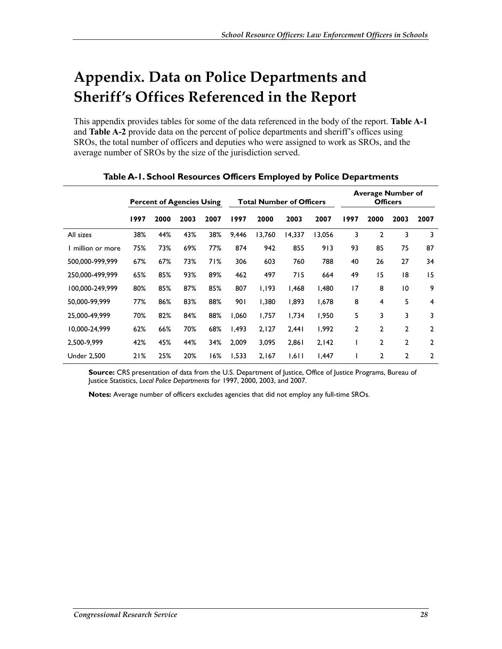# **Appendix. Data on Police Departments and Sheriff's Offices Referenced in the Report**

This appendix provides tables for some of the data referenced in the body of the report. **Table A-1**  and **Table A-2** provide data on the percent of police departments and sheriff's offices using SROs, the total number of officers and deputies who were assigned to work as SROs, and the average number of SROs by the size of the jurisdiction served.

|                    | <b>Percent of Agencies Using</b> |      |      | <b>Total Number of Officers</b> |       |        | <b>Average Number of</b><br><b>Officers</b> |        |                |                |                 |                |
|--------------------|----------------------------------|------|------|---------------------------------|-------|--------|---------------------------------------------|--------|----------------|----------------|-----------------|----------------|
|                    | 1997                             | 2000 | 2003 | 2007                            | 1997  | 2000   | 2003                                        | 2007   | 1997           | 2000           | 2003            | 2007           |
| All sizes          | 38%                              | 44%  | 43%  | 38%                             | 9,446 | 13,760 | 14,337                                      | 13,056 | 3              | $\mathbf{2}$   | 3               | 3              |
| I million or more  | 75%                              | 73%  | 69%  | 77%                             | 874   | 942    | 855                                         | 913    | 93             | 85             | 75              | 87             |
| 500,000-999,999    | 67%                              | 67%  | 73%  | 71%                             | 306   | 603    | 760                                         | 788    | 40             | 26             | 27              | 34             |
| 250,000-499,999    | 65%                              | 85%  | 93%  | 89%                             | 462   | 497    | 715                                         | 664    | 49             | 15             | 18              | 15             |
| 100,000-249,999    | 80%                              | 85%  | 87%  | 85%                             | 807   | 1,193  | 1,468                                       | 1,480  | 17             | 8              | $\overline{10}$ | 9              |
| 50,000-99,999      | 77%                              | 86%  | 83%  | 88%                             | 901   | 1,380  | 1,893                                       | 1,678  | 8              | 4              | 5               | 4              |
| 25,000-49,999      | 70%                              | 82%  | 84%  | 88%                             | 1,060 | 1,757  | 1,734                                       | 1,950  | 5              | 3              | 3               | 3              |
| 10,000-24,999      | 62%                              | 66%  | 70%  | 68%                             | I,493 | 2,127  | 2,441                                       | 1,992  | $\overline{2}$ | $\overline{2}$ | $\overline{2}$  | $\overline{2}$ |
| 2,500-9,999        | 42%                              | 45%  | 44%  | 34%                             | 2,009 | 3,095  | 2,861                                       | 2,142  |                | $\overline{2}$ | $\overline{2}$  | 2              |
| <b>Under 2,500</b> | 21%                              | 25%  | 20%  | 16%                             | 1,533 | 2,167  | 1,611                                       | 1,447  |                | $\overline{2}$ | $\overline{2}$  | $\overline{2}$ |

**Table A-1. School Resources Officers Employed by Police Departments** 

**Source:** CRS presentation of data from the U.S. Department of Justice, Office of Justice Programs, Bureau of Justice Statistics, *Local Police Departments* for 1997, 2000, 2003, and 2007.

**Notes:** Average number of officers excludes agencies that did not employ any full-time SROs.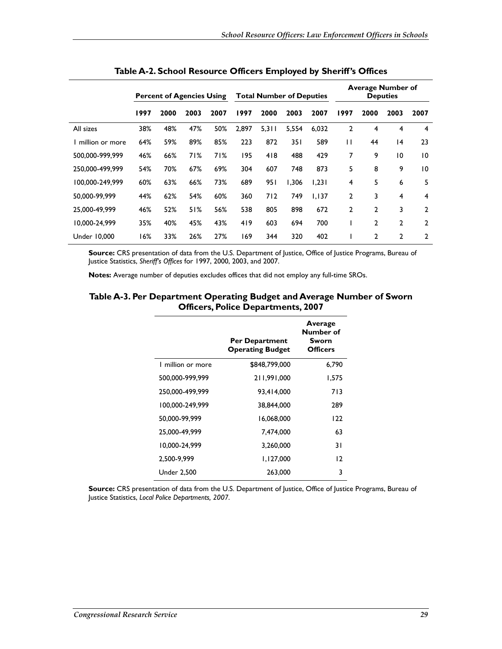|                     |      | <b>Percent of Agencies Using</b> |      |      | <b>Total Number of Deputies</b> |       |       |       |      | <b>Average Number of</b> | <b>Deputies</b> |                |
|---------------------|------|----------------------------------|------|------|---------------------------------|-------|-------|-------|------|--------------------------|-----------------|----------------|
|                     | 1997 | 2000                             | 2003 | 2007 | 1997                            | 2000  | 2003  | 2007  | 1997 | 2000                     | 2003            | 2007           |
| All sizes           | 38%  | 48%                              | 47%  | 50%  | 2.897                           | 5,311 | 5,554 | 6.032 | 2    | 4                        | 4               | 4              |
| million or more     | 64%  | 59%                              | 89%  | 85%  | 223                             | 872   | 35 I  | 589   | П    | 44                       | 4               | 23             |
| 500.000-999.999     | 46%  | 66%                              | 71%  | 71%  | 195                             | 418   | 488   | 429   | 7    | 9                        | $\overline{0}$  | 10             |
| 250.000-499.999     | 54%  | 70%                              | 67%  | 69%  | 304                             | 607   | 748   | 873   | 5    | 8                        | 9               | 10             |
| 100,000-249,999     | 60%  | 63%                              | 66%  | 73%  | 689                             | 951   | 1,306 | 1,231 | 4    | 5                        | 6               | 5              |
| 50.000-99.999       | 44%  | 62%                              | 54%  | 60%  | 360                             | 712   | 749   | 1.137 | 2    | 3                        | 4               | 4              |
| 25,000-49,999       | 46%  | 52%                              | 51%  | 56%  | 538                             | 805   | 898   | 672   | 2    | 2                        | 3               | $\overline{2}$ |
| 10.000-24.999       | 35%  | 40%                              | 45%  | 43%  | 419                             | 603   | 694   | 700   |      | 2                        | $\overline{2}$  | $\overline{2}$ |
| <b>Under 10,000</b> | 16%  | 33%                              | 26%  | 27%  | 169                             | 344   | 320   | 402   |      | 2                        | $\mathbf{2}$    | 2              |

**Table A-2. School Resource Officers Employed by Sheriff's Offices** 

**Source:** CRS presentation of data from the U.S. Department of Justice, Office of Justice Programs, Bureau of Justice Statistics, *Sheriff's Offices* for 1997, 2000, 2003, and 2007.

**Notes:** Average number of deputies excludes offices that did not employ any full-time SROs.

#### **Table A-3. Per Department Operating Budget and Average Number of Sworn Officers, Police Departments, 2007**

|                    | <b>Per Department</b><br><b>Operating Budget</b> | Average<br>Number of<br>Sworn<br><b>Officers</b> |
|--------------------|--------------------------------------------------|--------------------------------------------------|
| I million or more  | \$848,799,000                                    | 6,790                                            |
| 500,000-999,999    | 211.991.000                                      | 1,575                                            |
| 250,000-499,999    | 93.414.000                                       | 713                                              |
| 100,000-249,999    | 38.844.000                                       | 289                                              |
| 50,000-99,999      | 16,068,000                                       | 122                                              |
| 25.000-49.999      | 7.474.000                                        | 63                                               |
| 10,000-24,999      | 3.260.000                                        | 31                                               |
| 2.500-9.999        | 1,127,000                                        | 12                                               |
| <b>Under 2,500</b> | 263,000                                          | 3                                                |

**Source:** CRS presentation of data from the U.S. Department of Justice, Office of Justice Programs, Bureau of Justice Statistics, *Local Police Departments, 2007*.